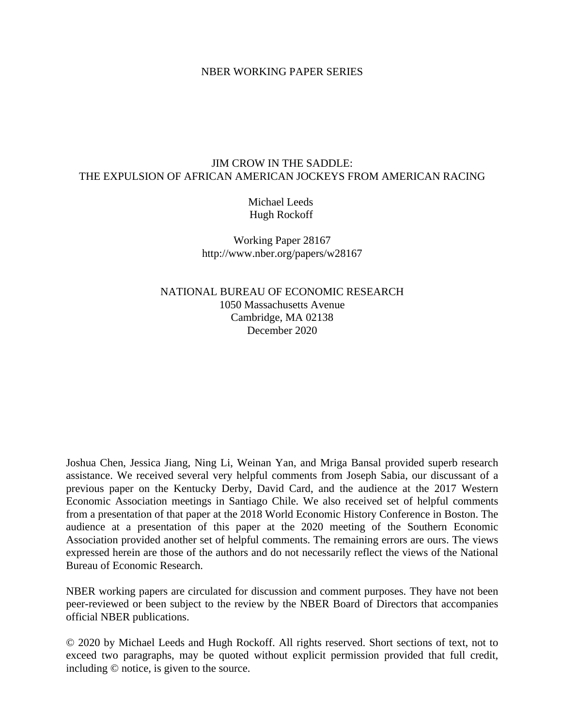#### NBER WORKING PAPER SERIES

#### JIM CROW IN THE SADDLE: THE EXPULSION OF AFRICAN AMERICAN JOCKEYS FROM AMERICAN RACING

Michael Leeds Hugh Rockoff

Working Paper 28167 http://www.nber.org/papers/w28167

NATIONAL BUREAU OF ECONOMIC RESEARCH 1050 Massachusetts Avenue Cambridge, MA 02138 December 2020

Joshua Chen, Jessica Jiang, Ning Li, Weinan Yan, and Mriga Bansal provided superb research assistance. We received several very helpful comments from Joseph Sabia, our discussant of a previous paper on the Kentucky Derby, David Card, and the audience at the 2017 Western Economic Association meetings in Santiago Chile. We also received set of helpful comments from a presentation of that paper at the 2018 World Economic History Conference in Boston. The audience at a presentation of this paper at the 2020 meeting of the Southern Economic Association provided another set of helpful comments. The remaining errors are ours. The views expressed herein are those of the authors and do not necessarily reflect the views of the National Bureau of Economic Research.

NBER working papers are circulated for discussion and comment purposes. They have not been peer-reviewed or been subject to the review by the NBER Board of Directors that accompanies official NBER publications.

© 2020 by Michael Leeds and Hugh Rockoff. All rights reserved. Short sections of text, not to exceed two paragraphs, may be quoted without explicit permission provided that full credit, including © notice, is given to the source.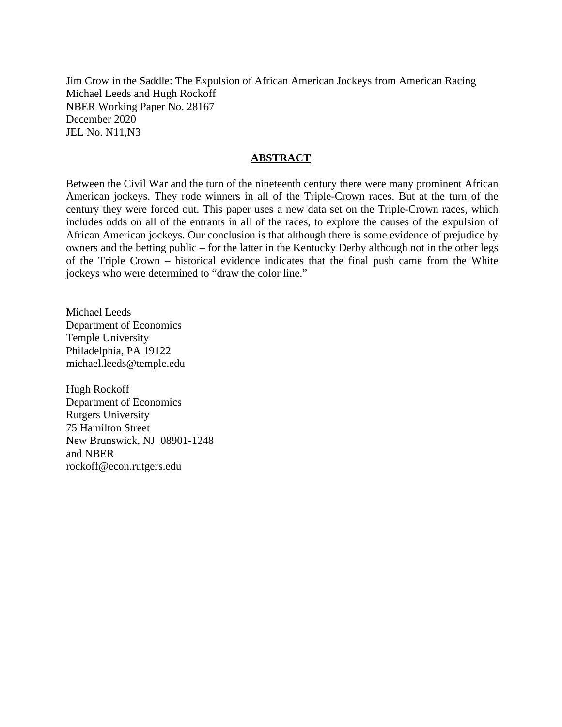Jim Crow in the Saddle: The Expulsion of African American Jockeys from American Racing Michael Leeds and Hugh Rockoff NBER Working Paper No. 28167 December 2020 JEL No. N11,N3

#### **ABSTRACT**

Between the Civil War and the turn of the nineteenth century there were many prominent African American jockeys. They rode winners in all of the Triple-Crown races. But at the turn of the century they were forced out. This paper uses a new data set on the Triple-Crown races, which includes odds on all of the entrants in all of the races, to explore the causes of the expulsion of African American jockeys. Our conclusion is that although there is some evidence of prejudice by owners and the betting public – for the latter in the Kentucky Derby although not in the other legs of the Triple Crown – historical evidence indicates that the final push came from the White jockeys who were determined to "draw the color line."

Michael Leeds Department of Economics Temple University Philadelphia, PA 19122 michael.leeds@temple.edu

Hugh Rockoff Department of Economics Rutgers University 75 Hamilton Street New Brunswick, NJ 08901-1248 and NBER rockoff@econ.rutgers.edu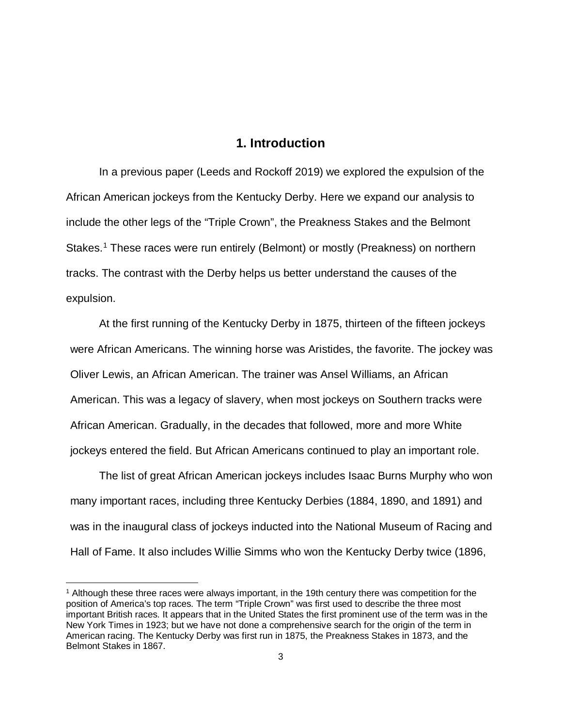#### **1. Introduction**

In a previous paper (Leeds and Rockoff 2019) we explored the expulsion of the African American jockeys from the Kentucky Derby. Here we expand our analysis to include the other legs of the "Triple Crown", the Preakness Stakes and the Belmont Stakes.<sup>[1](#page-2-0)</sup> These races were run entirely (Belmont) or mostly (Preakness) on northern tracks. The contrast with the Derby helps us better understand the causes of the expulsion.

At the first running of the Kentucky Derby in 1875, thirteen of the fifteen jockeys were African Americans. The winning horse was Aristides, the favorite. The jockey was Oliver Lewis, an African American. The trainer was Ansel Williams, an African American. This was a legacy of slavery, when most jockeys on Southern tracks were African American. Gradually, in the decades that followed, more and more White jockeys entered the field. But African Americans continued to play an important role.

The list of great African American jockeys includes Isaac Burns Murphy who won many important races, including three Kentucky Derbies (1884, 1890, and 1891) and was in the inaugural class of jockeys inducted into the National Museum of Racing and Hall of Fame. It also includes Willie Simms who won the Kentucky Derby twice (1896,

 $\overline{a}$ 

<span id="page-2-0"></span><sup>1</sup> Although these three races were always important, in the 19th century there was competition for the position of America's top races. The term "Triple Crown" was first used to describe the three most important British races. It appears that in the United States the first prominent use of the term was in the New York Times in 1923; but we have not done a comprehensive search for the origin of the term in American racing. The Kentucky Derby was first run in 1875, the Preakness Stakes in 1873, and the Belmont Stakes in 1867.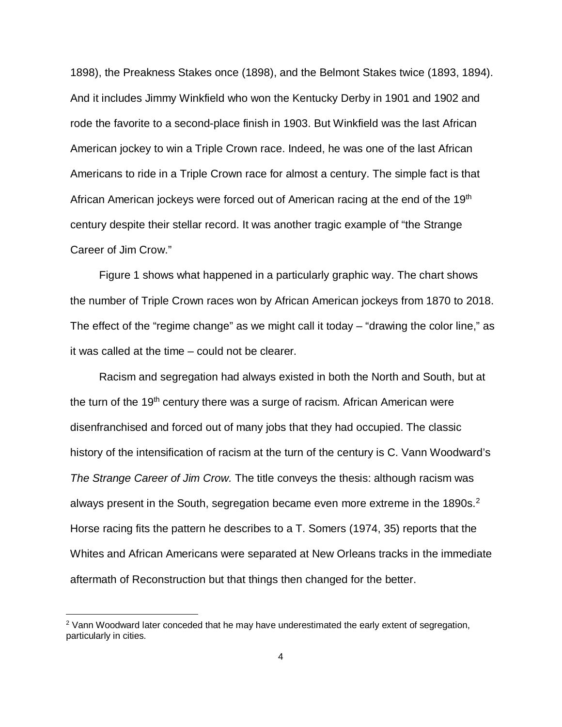1898), the Preakness Stakes once (1898), and the Belmont Stakes twice (1893, 1894). And it includes Jimmy Winkfield who won the Kentucky Derby in 1901 and 1902 and rode the favorite to a second-place finish in 1903. But Winkfield was the last African American jockey to win a Triple Crown race. Indeed, he was one of the last African Americans to ride in a Triple Crown race for almost a century. The simple fact is that African American jockeys were forced out of American racing at the end of the 19<sup>th</sup> century despite their stellar record. It was another tragic example of "the Strange Career of Jim Crow."

Figure 1 shows what happened in a particularly graphic way. The chart shows the number of Triple Crown races won by African American jockeys from 1870 to 2018. The effect of the "regime change" as we might call it today – "drawing the color line," as it was called at the time – could not be clearer.

Racism and segregation had always existed in both the North and South, but at the turn of the 19<sup>th</sup> century there was a surge of racism. African American were disenfranchised and forced out of many jobs that they had occupied. The classic history of the intensification of racism at the turn of the century is C. Vann Woodward's *The Strange Career of Jim Crow.* The title conveys the thesis: although racism was always present in the South, segregation became even more extreme in the 1890s.<sup>[2](#page-3-0)</sup> Horse racing fits the pattern he describes to a T. Somers (1974, 35) reports that the Whites and African Americans were separated at New Orleans tracks in the immediate aftermath of Reconstruction but that things then changed for the better.

 $\overline{a}$ 

<span id="page-3-0"></span><sup>&</sup>lt;sup>2</sup> Vann Woodward later conceded that he may have underestimated the early extent of segregation, particularly in cities.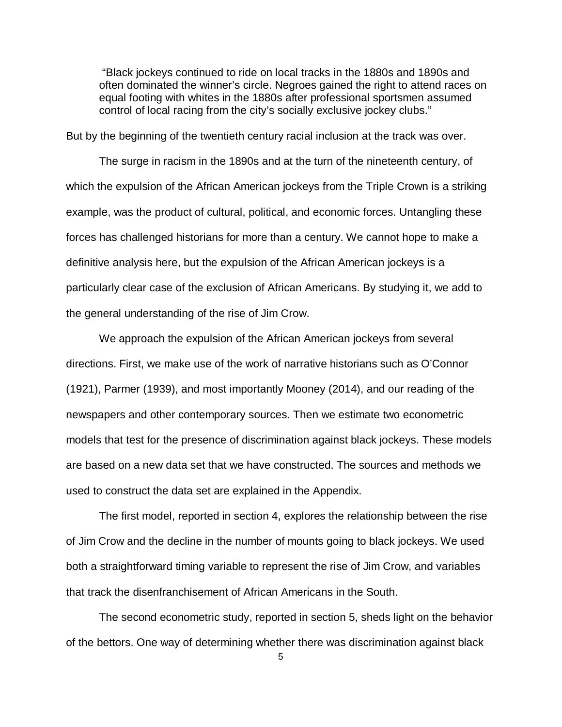"Black jockeys continued to ride on local tracks in the 1880s and 1890s and often dominated the winner's circle. Negroes gained the right to attend races on equal footing with whites in the 1880s after professional sportsmen assumed control of local racing from the city's socially exclusive jockey clubs."

But by the beginning of the twentieth century racial inclusion at the track was over.

The surge in racism in the 1890s and at the turn of the nineteenth century, of which the expulsion of the African American jockeys from the Triple Crown is a striking example, was the product of cultural, political, and economic forces. Untangling these forces has challenged historians for more than a century. We cannot hope to make a definitive analysis here, but the expulsion of the African American jockeys is a particularly clear case of the exclusion of African Americans. By studying it, we add to the general understanding of the rise of Jim Crow.

We approach the expulsion of the African American jockeys from several directions. First, we make use of the work of narrative historians such as O'Connor (1921), Parmer (1939), and most importantly Mooney (2014), and our reading of the newspapers and other contemporary sources. Then we estimate two econometric models that test for the presence of discrimination against black jockeys. These models are based on a new data set that we have constructed. The sources and methods we used to construct the data set are explained in the Appendix.

The first model, reported in section 4, explores the relationship between the rise of Jim Crow and the decline in the number of mounts going to black jockeys. We used both a straightforward timing variable to represent the rise of Jim Crow, and variables that track the disenfranchisement of African Americans in the South.

The second econometric study, reported in section 5, sheds light on the behavior of the bettors. One way of determining whether there was discrimination against black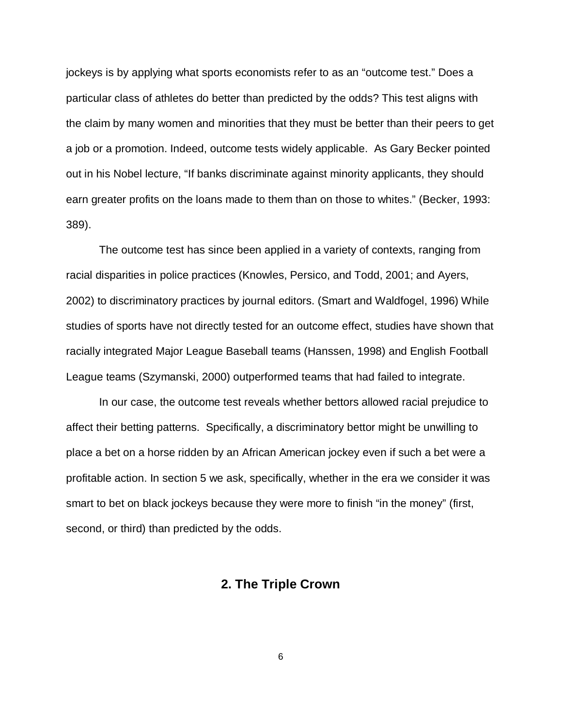jockeys is by applying what sports economists refer to as an "outcome test." Does a particular class of athletes do better than predicted by the odds? This test aligns with the claim by many women and minorities that they must be better than their peers to get a job or a promotion. Indeed, outcome tests widely applicable. As Gary Becker pointed out in his Nobel lecture, "If banks discriminate against minority applicants, they should earn greater profits on the loans made to them than on those to whites." (Becker, 1993: 389).

The outcome test has since been applied in a variety of contexts, ranging from racial disparities in police practices (Knowles, Persico, and Todd, 2001; and Ayers, 2002) to discriminatory practices by journal editors. (Smart and Waldfogel, 1996) While studies of sports have not directly tested for an outcome effect, studies have shown that racially integrated Major League Baseball teams (Hanssen, 1998) and English Football League teams (Szymanski, 2000) outperformed teams that had failed to integrate.

In our case, the outcome test reveals whether bettors allowed racial prejudice to affect their betting patterns. Specifically, a discriminatory bettor might be unwilling to place a bet on a horse ridden by an African American jockey even if such a bet were a profitable action. In section 5 we ask, specifically, whether in the era we consider it was smart to bet on black jockeys because they were more to finish "in the money" (first, second, or third) than predicted by the odds.

### **2. The Triple Crown**

6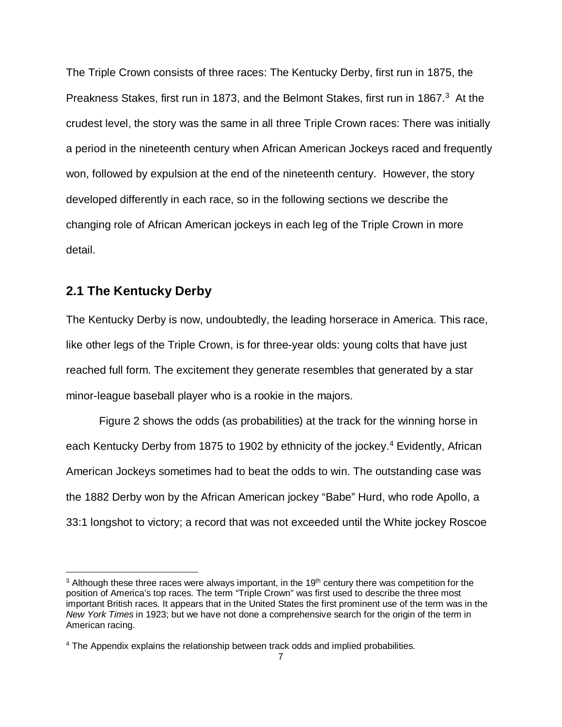The Triple Crown consists of three races: The Kentucky Derby, first run in 1875, the Preakness Stakes, first run in 1873, and the Belmont Stakes, first run in 1867.<sup>3</sup> At the crudest level, the story was the same in all three Triple Crown races: There was initially a period in the nineteenth century when African American Jockeys raced and frequently won, followed by expulsion at the end of the nineteenth century. However, the story developed differently in each race, so in the following sections we describe the changing role of African American jockeys in each leg of the Triple Crown in more detail.

#### **2.1 The Kentucky Derby**

 $\overline{a}$ 

The Kentucky Derby is now, undoubtedly, the leading horserace in America. This race, like other legs of the Triple Crown, is for three-year olds: young colts that have just reached full form. The excitement they generate resembles that generated by a star minor-league baseball player who is a rookie in the majors.

Figure 2 shows the odds (as probabilities) at the track for the winning horse in each Kentucky Derby from 1875 to 1902 by ethnicity of the jockey.<sup>[4](#page-6-1)</sup> Evidently, African American Jockeys sometimes had to beat the odds to win. The outstanding case was the 1882 Derby won by the African American jockey "Babe" Hurd, who rode Apollo, a 33:1 longshot to victory; a record that was not exceeded until the White jockey Roscoe

<span id="page-6-0"></span> $3$  Although these three races were always important, in the 19<sup>th</sup> century there was competition for the position of America's top races. The term "Triple Crown" was first used to describe the three most important British races. It appears that in the United States the first prominent use of the term was in the *New York Times* in 1923; but we have not done a comprehensive search for the origin of the term in American racing.

<span id="page-6-1"></span><sup>4</sup> The Appendix explains the relationship between track odds and implied probabilities.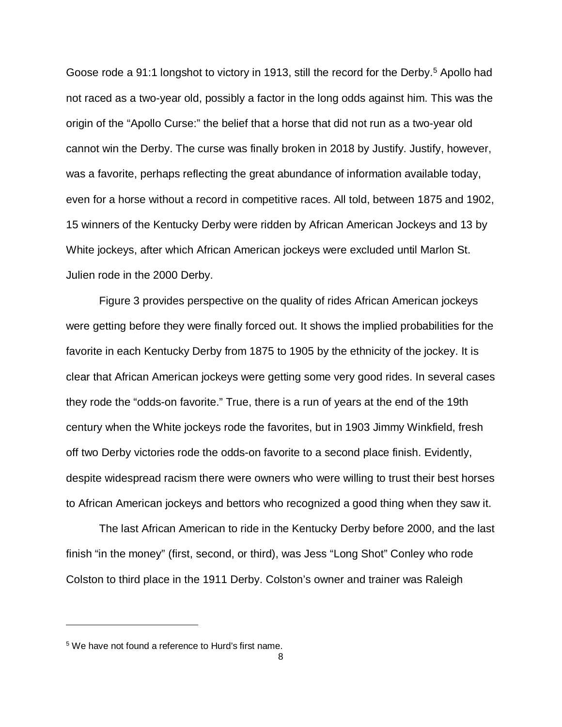Goose rode a 91:1 longshot to victory in 1913, still the record for the Derby. [5](#page-7-0) Apollo had not raced as a two-year old, possibly a factor in the long odds against him. This was the origin of the "Apollo Curse:" the belief that a horse that did not run as a two-year old cannot win the Derby. The curse was finally broken in 2018 by Justify. Justify, however, was a favorite, perhaps reflecting the great abundance of information available today, even for a horse without a record in competitive races. All told, between 1875 and 1902, 15 winners of the Kentucky Derby were ridden by African American Jockeys and 13 by White jockeys, after which African American jockeys were excluded until Marlon St. Julien rode in the 2000 Derby.

Figure 3 provides perspective on the quality of rides African American jockeys were getting before they were finally forced out. It shows the implied probabilities for the favorite in each Kentucky Derby from 1875 to 1905 by the ethnicity of the jockey. It is clear that African American jockeys were getting some very good rides. In several cases they rode the "odds-on favorite." True, there is a run of years at the end of the 19th century when the White jockeys rode the favorites, but in 1903 Jimmy Winkfield, fresh off two Derby victories rode the odds-on favorite to a second place finish. Evidently, despite widespread racism there were owners who were willing to trust their best horses to African American jockeys and bettors who recognized a good thing when they saw it.

The last African American to ride in the Kentucky Derby before 2000, and the last finish "in the money" (first, second, or third), was Jess "Long Shot" Conley who rode Colston to third place in the 1911 Derby. Colston's owner and trainer was Raleigh

 $\overline{a}$ 

<span id="page-7-0"></span><sup>&</sup>lt;sup>5</sup> We have not found a reference to Hurd's first name.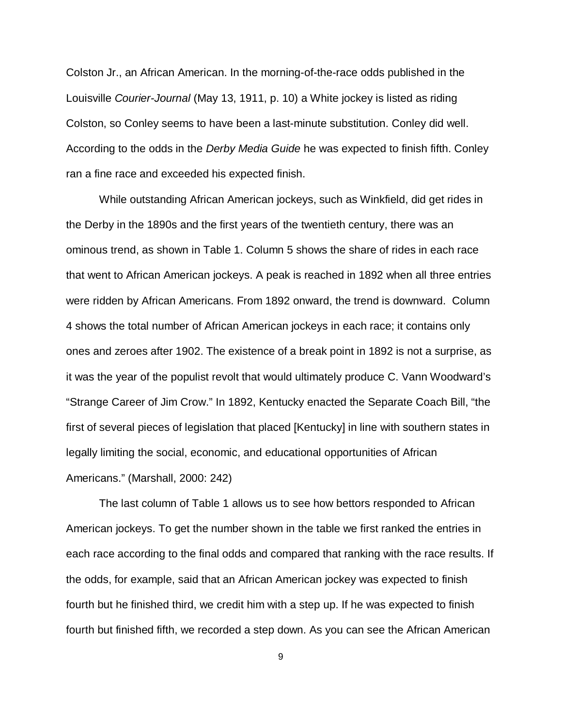Colston Jr., an African American. In the morning-of-the-race odds published in the Louisville *Courier-Journal* (May 13, 1911, p. 10) a White jockey is listed as riding Colston, so Conley seems to have been a last-minute substitution. Conley did well. According to the odds in the *Derby Media Guide* he was expected to finish fifth. Conley ran a fine race and exceeded his expected finish.

While outstanding African American jockeys, such as Winkfield, did get rides in the Derby in the 1890s and the first years of the twentieth century, there was an ominous trend, as shown in Table 1. Column 5 shows the share of rides in each race that went to African American jockeys. A peak is reached in 1892 when all three entries were ridden by African Americans. From 1892 onward, the trend is downward. Column 4 shows the total number of African American jockeys in each race; it contains only ones and zeroes after 1902. The existence of a break point in 1892 is not a surprise, as it was the year of the populist revolt that would ultimately produce C. Vann Woodward's "Strange Career of Jim Crow." In 1892, Kentucky enacted the Separate Coach Bill, "the first of several pieces of legislation that placed [Kentucky] in line with southern states in legally limiting the social, economic, and educational opportunities of African Americans." (Marshall, 2000: 242)

The last column of Table 1 allows us to see how bettors responded to African American jockeys. To get the number shown in the table we first ranked the entries in each race according to the final odds and compared that ranking with the race results. If the odds, for example, said that an African American jockey was expected to finish fourth but he finished third, we credit him with a step up. If he was expected to finish fourth but finished fifth, we recorded a step down. As you can see the African American

9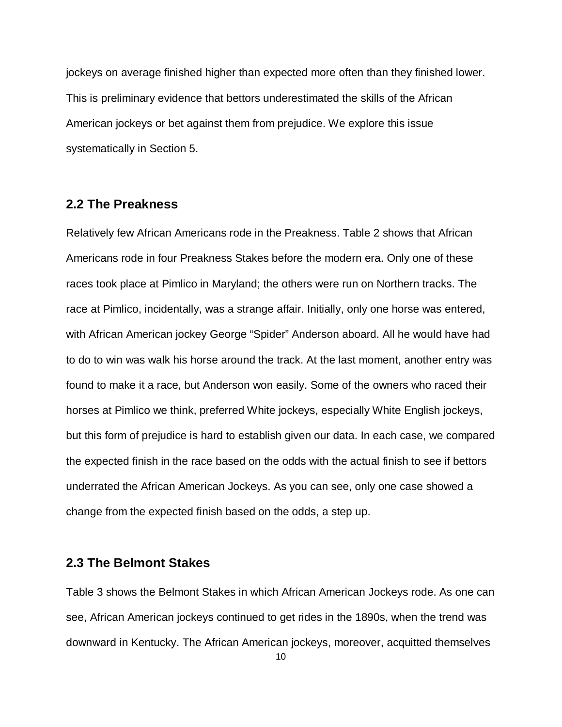jockeys on average finished higher than expected more often than they finished lower. This is preliminary evidence that bettors underestimated the skills of the African American jockeys or bet against them from prejudice. We explore this issue systematically in Section 5.

#### **2.2 The Preakness**

Relatively few African Americans rode in the Preakness. Table 2 shows that African Americans rode in four Preakness Stakes before the modern era. Only one of these races took place at Pimlico in Maryland; the others were run on Northern tracks. The race at Pimlico, incidentally, was a strange affair. Initially, only one horse was entered, with African American jockey George "Spider" Anderson aboard. All he would have had to do to win was walk his horse around the track. At the last moment, another entry was found to make it a race, but Anderson won easily. Some of the owners who raced their horses at Pimlico we think, preferred White jockeys, especially White English jockeys, but this form of prejudice is hard to establish given our data. In each case, we compared the expected finish in the race based on the odds with the actual finish to see if bettors underrated the African American Jockeys. As you can see, only one case showed a change from the expected finish based on the odds, a step up.

#### **2.3 The Belmont Stakes**

Table 3 shows the Belmont Stakes in which African American Jockeys rode. As one can see, African American jockeys continued to get rides in the 1890s, when the trend was downward in Kentucky. The African American jockeys, moreover, acquitted themselves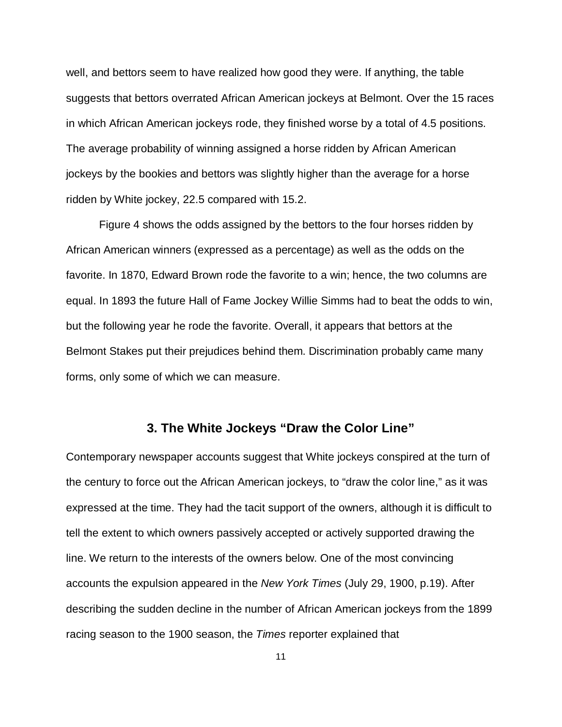well, and bettors seem to have realized how good they were. If anything, the table suggests that bettors overrated African American jockeys at Belmont. Over the 15 races in which African American jockeys rode, they finished worse by a total of 4.5 positions. The average probability of winning assigned a horse ridden by African American jockeys by the bookies and bettors was slightly higher than the average for a horse ridden by White jockey, 22.5 compared with 15.2.

Figure 4 shows the odds assigned by the bettors to the four horses ridden by African American winners (expressed as a percentage) as well as the odds on the favorite. In 1870, Edward Brown rode the favorite to a win; hence, the two columns are equal. In 1893 the future Hall of Fame Jockey Willie Simms had to beat the odds to win, but the following year he rode the favorite. Overall, it appears that bettors at the Belmont Stakes put their prejudices behind them. Discrimination probably came many forms, only some of which we can measure.

#### **3. The White Jockeys "Draw the Color Line"**

Contemporary newspaper accounts suggest that White jockeys conspired at the turn of the century to force out the African American jockeys, to "draw the color line," as it was expressed at the time. They had the tacit support of the owners, although it is difficult to tell the extent to which owners passively accepted or actively supported drawing the line. We return to the interests of the owners below. One of the most convincing accounts the expulsion appeared in the *New York Times* (July 29, 1900, p.19). After describing the sudden decline in the number of African American jockeys from the 1899 racing season to the 1900 season, the *Times* reporter explained that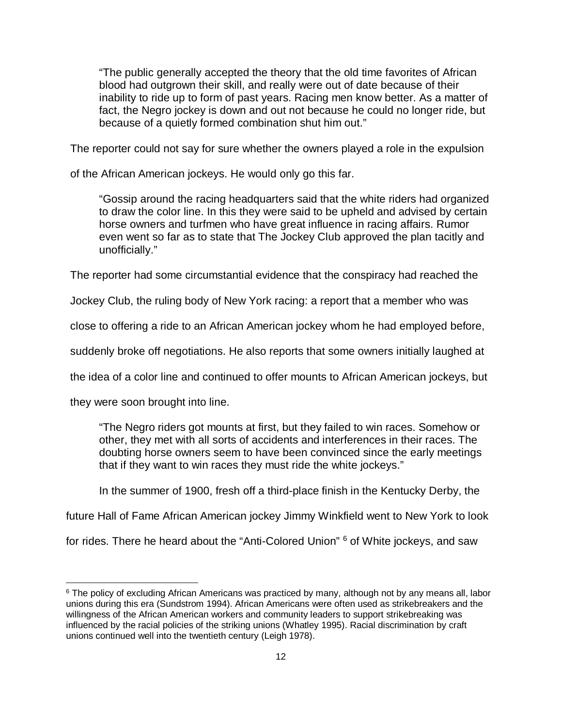"The public generally accepted the theory that the old time favorites of African blood had outgrown their skill, and really were out of date because of their inability to ride up to form of past years. Racing men know better. As a matter of fact, the Negro jockey is down and out not because he could no longer ride, but because of a quietly formed combination shut him out."

The reporter could not say for sure whether the owners played a role in the expulsion

of the African American jockeys. He would only go this far.

"Gossip around the racing headquarters said that the white riders had organized to draw the color line. In this they were said to be upheld and advised by certain horse owners and turfmen who have great influence in racing affairs. Rumor even went so far as to state that The Jockey Club approved the plan tacitly and unofficially."

The reporter had some circumstantial evidence that the conspiracy had reached the

Jockey Club, the ruling body of New York racing: a report that a member who was

close to offering a ride to an African American jockey whom he had employed before,

suddenly broke off negotiations. He also reports that some owners initially laughed at

the idea of a color line and continued to offer mounts to African American jockeys, but

they were soon brought into line.

 $\overline{a}$ 

"The Negro riders got mounts at first, but they failed to win races. Somehow or other, they met with all sorts of accidents and interferences in their races. The doubting horse owners seem to have been convinced since the early meetings that if they want to win races they must ride the white jockeys."

In the summer of 1900, fresh off a third-place finish in the Kentucky Derby, the

future Hall of Fame African American jockey Jimmy Winkfield went to New York to look

for rides. There he heard about the "Anti-Colored Union" [6](#page-11-0) of White jockeys, and saw

<span id="page-11-0"></span><sup>&</sup>lt;sup>6</sup> The policy of excluding African Americans was practiced by many, although not by any means all, labor unions during this era (Sundstrom 1994). African Americans were often used as strikebreakers and the willingness of the African American workers and community leaders to support strikebreaking was influenced by the racial policies of the striking unions (Whatley 1995). Racial discrimination by craft unions continued well into the twentieth century (Leigh 1978).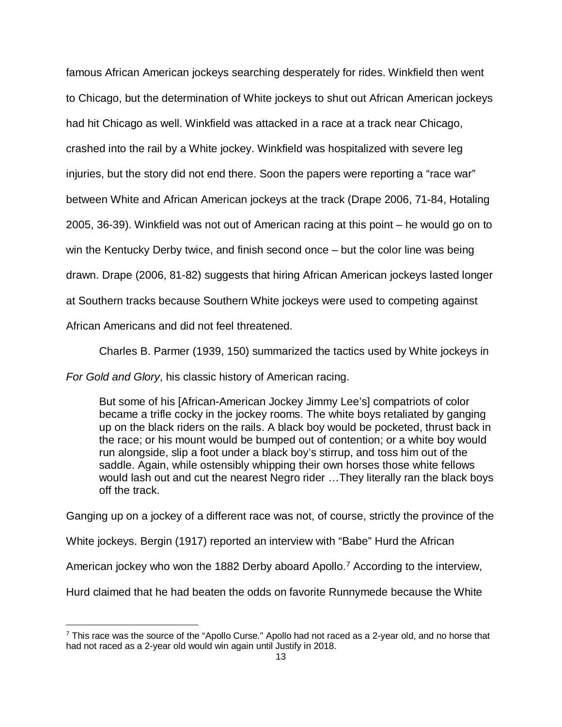famous African American jockeys searching desperately for rides. Winkfield then went to Chicago, but the determination of White jockeys to shut out African American jockeys had hit Chicago as well. Winkfield was attacked in a race at a track near Chicago, crashed into the rail by a White jockey. Winkfield was hospitalized with severe leg injuries, but the story did not end there. Soon the papers were reporting a "race war" between White and African American jockeys at the track (Drape 2006, 71-84, Hotaling 2005, 36-39). Winkfield was not out of American racing at this point – he would go on to win the Kentucky Derby twice, and finish second once – but the color line was being drawn. Drape (2006, 81-82) suggests that hiring African American jockeys lasted longer at Southern tracks because Southern White jockeys were used to competing against African Americans and did not feel threatened.

Charles B. Parmer (1939, 150) summarized the tactics used by White jockeys in

*For Gold and Glory*, his classic history of American racing.

 $\overline{a}$ 

But some of his [African-American Jockey Jimmy Lee's] compatriots of color became a trifle cocky in the jockey rooms. The white boys retaliated by ganging up on the black riders on the rails. A black boy would be pocketed, thrust back in the race; or his mount would be bumped out of contention; or a white boy would run alongside, slip a foot under a black boy's stirrup, and toss him out of the saddle. Again, while ostensibly whipping their own horses those white fellows would lash out and cut the nearest Negro rider …They literally ran the black boys off the track.

Ganging up on a jockey of a different race was not, of course, strictly the province of the

White jockeys. Bergin (1917) reported an interview with "Babe" Hurd the African

American jockey who won the 1882 Derby aboard Apollo.<sup>7</sup> According to the interview,

Hurd claimed that he had beaten the odds on favorite Runnymede because the White

<span id="page-12-0"></span> $\frac{7}{1}$  This race was the source of the "Apollo Curse." Apollo had not raced as a 2-year old, and no horse that had not raced as a 2-year old would win again until Justify in 2018.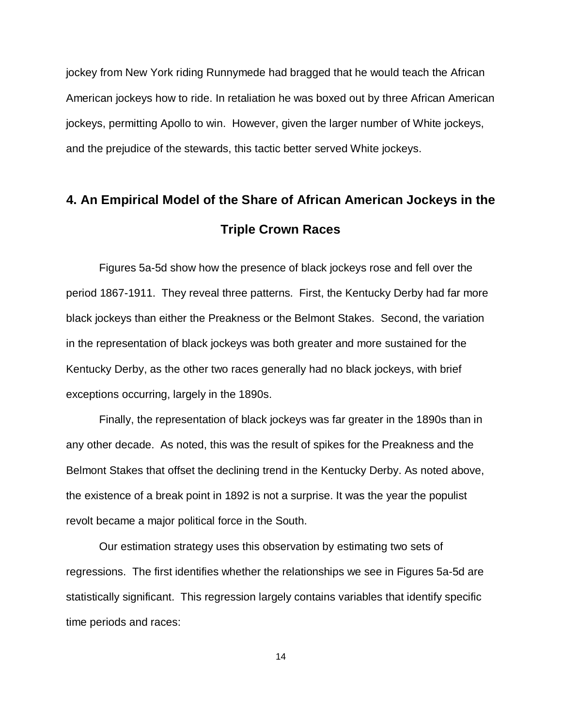jockey from New York riding Runnymede had bragged that he would teach the African American jockeys how to ride. In retaliation he was boxed out by three African American jockeys, permitting Apollo to win. However, given the larger number of White jockeys, and the prejudice of the stewards, this tactic better served White jockeys.

# **4. An Empirical Model of the Share of African American Jockeys in the Triple Crown Races**

Figures 5a-5d show how the presence of black jockeys rose and fell over the period 1867-1911. They reveal three patterns. First, the Kentucky Derby had far more black jockeys than either the Preakness or the Belmont Stakes. Second, the variation in the representation of black jockeys was both greater and more sustained for the Kentucky Derby, as the other two races generally had no black jockeys, with brief exceptions occurring, largely in the 1890s.

Finally, the representation of black jockeys was far greater in the 1890s than in any other decade. As noted, this was the result of spikes for the Preakness and the Belmont Stakes that offset the declining trend in the Kentucky Derby. As noted above, the existence of a break point in 1892 is not a surprise. It was the year the populist revolt became a major political force in the South.

Our estimation strategy uses this observation by estimating two sets of regressions. The first identifies whether the relationships we see in Figures 5a-5d are statistically significant. This regression largely contains variables that identify specific time periods and races: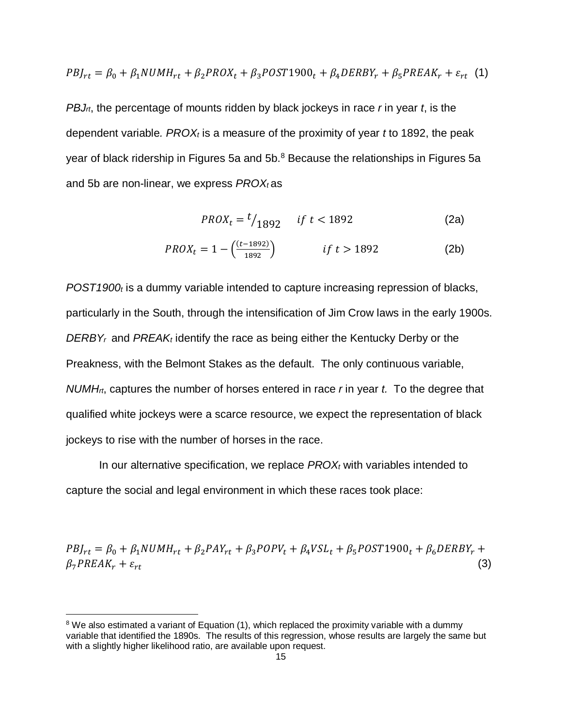$$
PBJ_{rt} = \beta_0 + \beta_1 NUMH_{rt} + \beta_2 PROX_t + \beta_3 POST1900_t + \beta_4 DERBY_r + \beta_5 PREAK_r + \varepsilon_{rt}
$$
 (1)

*PBJrt*, the percentage of mounts ridden by black jockeys in race *r* in year *t*, is the dependent variable*. PROXt* is a measure of the proximity of year *t* to 1892, the peak year of black ridership in Figures 5a and  $5b.^8$  $5b.^8$  Because the relationships in Figures 5a and 5b are non-linear, we express *PROX*<sup>t</sup> as

$$
PROX_t = \frac{t}{1892} \quad \text{if } t < 1892 \tag{2a}
$$

$$
PROX_t = 1 - \left(\frac{(t - 1892)}{1892}\right) \qquad \qquad \text{if } t > 1892 \tag{2b}
$$

*POST1900t* is a dummy variable intended to capture increasing repression of blacks, particularly in the South, through the intensification of Jim Crow laws in the early 1900s. *DERBY<sub>r</sub>* and *PREAK<sub>t</sub>* identify the race as being either the Kentucky Derby or the Preakness, with the Belmont Stakes as the default. The only continuous variable, *NUMHrt*, captures the number of horses entered in race *r* in year *t.* To the degree that qualified white jockeys were a scarce resource, we expect the representation of black jockeys to rise with the number of horses in the race.

In our alternative specification, we replace *PROXt* with variables intended to capture the social and legal environment in which these races took place:

 $PBJ_{rt} = \beta_0 + \beta_1 NUMH_{rt} + \beta_2 PAY_{rt} + \beta_3 POPV_t + \beta_4 VSL_t + \beta_5 POST1900_t + \beta_6 DERBY_r +$  $\beta_7 P REAL_r + \varepsilon_{rt}$  (3)

 $\overline{a}$ 

<span id="page-14-0"></span><sup>&</sup>lt;sup>8</sup> We also estimated a variant of Equation (1), which replaced the proximity variable with a dummy variable that identified the 1890s. The results of this regression, whose results are largely the same but with a slightly higher likelihood ratio, are available upon request.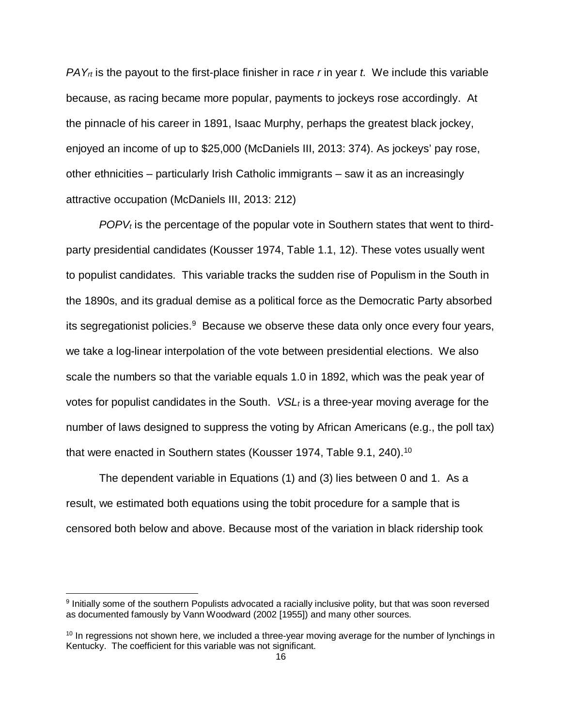*PAYrt* is the payout to the first-place finisher in race *r* in year *t.* We include this variable because, as racing became more popular, payments to jockeys rose accordingly. At the pinnacle of his career in 1891, Isaac Murphy, perhaps the greatest black jockey, enjoyed an income of up to \$25,000 (McDaniels III, 2013: 374). As jockeys' pay rose, other ethnicities – particularly Irish Catholic immigrants – saw it as an increasingly attractive occupation (McDaniels III, 2013: 212)

*POPVt* is the percentage of the popular vote in Southern states that went to thirdparty presidential candidates (Kousser 1974, Table 1.1, 12). These votes usually went to populist candidates. This variable tracks the sudden rise of Populism in the South in the 1890s, and its gradual demise as a political force as the Democratic Party absorbed its segregationist policies.<sup>9</sup> Because we observe these data only once every four years, we take a log-linear interpolation of the vote between presidential elections. We also scale the numbers so that the variable equals 1.0 in 1892, which was the peak year of votes for populist candidates in the South. *VSL<sub>t</sub>* is a three-year moving average for the number of laws designed to suppress the voting by African Americans (e.g., the poll tax) that were enacted in Southern states (Kousser 1974, Table 9.1, 240).<sup>10</sup>

The dependent variable in Equations (1) and (3) lies between 0 and 1. As a result, we estimated both equations using the tobit procedure for a sample that is censored both below and above. Because most of the variation in black ridership took

 $\overline{a}$ 

<span id="page-15-0"></span><sup>9</sup> Initially some of the southern Populists advocated a racially inclusive polity, but that was soon reversed as documented famously by Vann Woodward (2002 [1955]) and many other sources.

<span id="page-15-1"></span><sup>&</sup>lt;sup>10</sup> In regressions not shown here, we included a three-year moving average for the number of lynchings in Kentucky. The coefficient for this variable was not significant.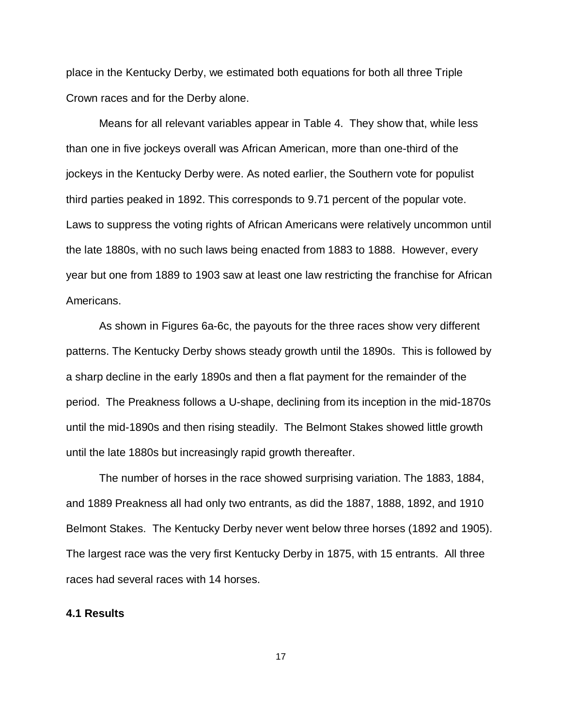place in the Kentucky Derby, we estimated both equations for both all three Triple Crown races and for the Derby alone.

Means for all relevant variables appear in Table 4. They show that, while less than one in five jockeys overall was African American, more than one-third of the jockeys in the Kentucky Derby were. As noted earlier, the Southern vote for populist third parties peaked in 1892. This corresponds to 9.71 percent of the popular vote. Laws to suppress the voting rights of African Americans were relatively uncommon until the late 1880s, with no such laws being enacted from 1883 to 1888. However, every year but one from 1889 to 1903 saw at least one law restricting the franchise for African Americans.

As shown in Figures 6a-6c, the payouts for the three races show very different patterns. The Kentucky Derby shows steady growth until the 1890s. This is followed by a sharp decline in the early 1890s and then a flat payment for the remainder of the period. The Preakness follows a U-shape, declining from its inception in the mid-1870s until the mid-1890s and then rising steadily. The Belmont Stakes showed little growth until the late 1880s but increasingly rapid growth thereafter.

The number of horses in the race showed surprising variation. The 1883, 1884, and 1889 Preakness all had only two entrants, as did the 1887, 1888, 1892, and 1910 Belmont Stakes. The Kentucky Derby never went below three horses (1892 and 1905). The largest race was the very first Kentucky Derby in 1875, with 15 entrants. All three races had several races with 14 horses.

#### **4.1 Results**

17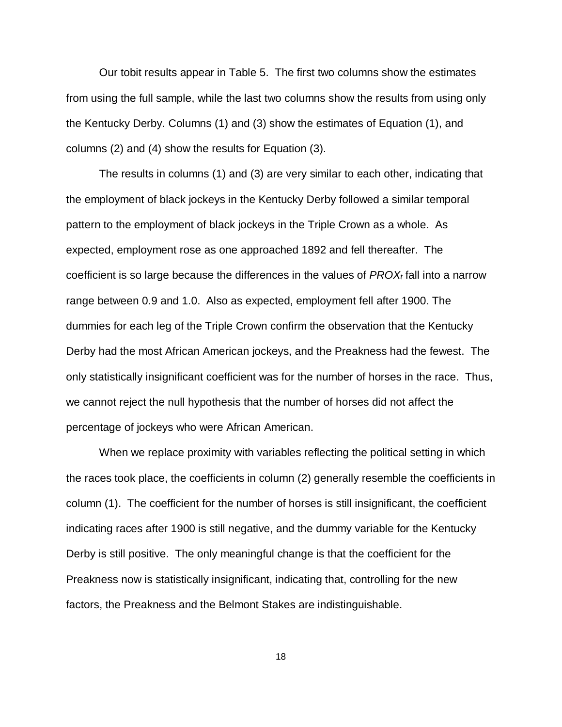Our tobit results appear in Table 5. The first two columns show the estimates from using the full sample, while the last two columns show the results from using only the Kentucky Derby. Columns (1) and (3) show the estimates of Equation (1), and columns (2) and (4) show the results for Equation (3).

The results in columns (1) and (3) are very similar to each other, indicating that the employment of black jockeys in the Kentucky Derby followed a similar temporal pattern to the employment of black jockeys in the Triple Crown as a whole. As expected, employment rose as one approached 1892 and fell thereafter. The coefficient is so large because the differences in the values of *PROXt* fall into a narrow range between 0.9 and 1.0. Also as expected, employment fell after 1900. The dummies for each leg of the Triple Crown confirm the observation that the Kentucky Derby had the most African American jockeys, and the Preakness had the fewest. The only statistically insignificant coefficient was for the number of horses in the race. Thus, we cannot reject the null hypothesis that the number of horses did not affect the percentage of jockeys who were African American.

When we replace proximity with variables reflecting the political setting in which the races took place, the coefficients in column (2) generally resemble the coefficients in column (1). The coefficient for the number of horses is still insignificant, the coefficient indicating races after 1900 is still negative, and the dummy variable for the Kentucky Derby is still positive. The only meaningful change is that the coefficient for the Preakness now is statistically insignificant, indicating that, controlling for the new factors, the Preakness and the Belmont Stakes are indistinguishable.

18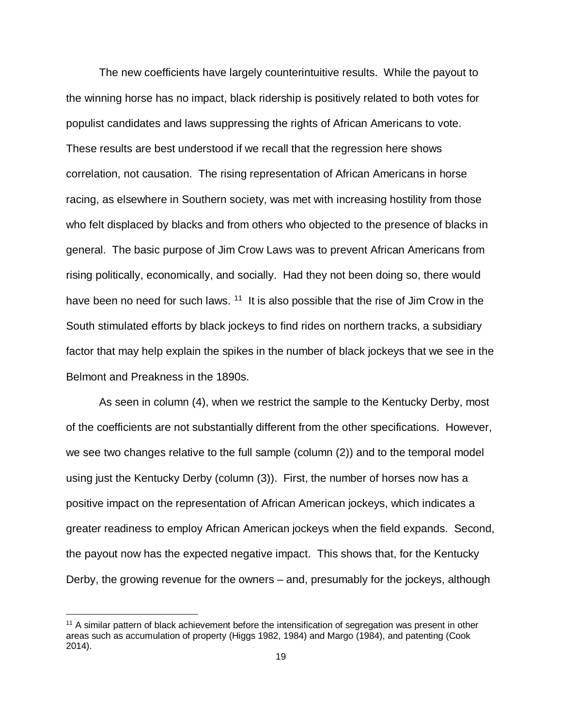The new coefficients have largely counterintuitive results. While the payout to the winning horse has no impact, black ridership is positively related to both votes for populist candidates and laws suppressing the rights of African Americans to vote. These results are best understood if we recall that the regression here shows correlation, not causation. The rising representation of African Americans in horse racing, as elsewhere in Southern society, was met with increasing hostility from those who felt displaced by blacks and from others who objected to the presence of blacks in general. The basic purpose of Jim Crow Laws was to prevent African Americans from rising politically, economically, and socially. Had they not been doing so, there would have been no need for such laws.  $11$  It is also possible that the rise of Jim Crow in the South stimulated efforts by black jockeys to find rides on northern tracks, a subsidiary factor that may help explain the spikes in the number of black jockeys that we see in the Belmont and Preakness in the 1890s.

As seen in column (4), when we restrict the sample to the Kentucky Derby, most of the coefficients are not substantially different from the other specifications. However, we see two changes relative to the full sample (column (2)) and to the temporal model using just the Kentucky Derby (column (3)). First, the number of horses now has a positive impact on the representation of African American jockeys, which indicates a greater readiness to employ African American jockeys when the field expands. Second, the payout now has the expected negative impact. This shows that, for the Kentucky Derby, the growing revenue for the owners – and, presumably for the jockeys, although

 $\overline{a}$ 

<span id="page-18-0"></span><sup>&</sup>lt;sup>11</sup> A similar pattern of black achievement before the intensification of segregation was present in other areas such as accumulation of property (Higgs 1982, 1984) and Margo (1984), and patenting (Cook 2014).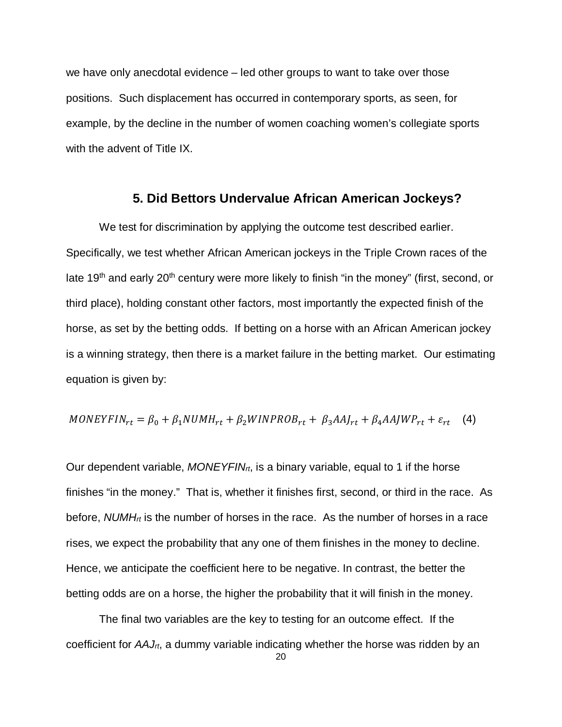we have only anecdotal evidence – led other groups to want to take over those positions. Such displacement has occurred in contemporary sports, as seen, for example, by the decline in the number of women coaching women's collegiate sports with the advent of Title IX.

### **5. Did Bettors Undervalue African American Jockeys?**

We test for discrimination by applying the outcome test described earlier. Specifically, we test whether African American jockeys in the Triple Crown races of the late 19<sup>th</sup> and early 20<sup>th</sup> century were more likely to finish "in the money" (first, second, or third place), holding constant other factors, most importantly the expected finish of the horse, as set by the betting odds. If betting on a horse with an African American jockey is a winning strategy, then there is a market failure in the betting market. Our estimating equation is given by:

$$
MONEYFIN_{rt} = \beta_0 + \beta_1 NUMH_{rt} + \beta_2 WINPROB_{rt} + \beta_3 AAI_{rt} + \beta_4 AAJWP_{rt} + \varepsilon_{rt} \quad (4)
$$

Our dependent variable, *MONEYFINrt*, is a binary variable, equal to 1 if the horse finishes "in the money." That is, whether it finishes first, second, or third in the race. As before, *NUMH<sub>rt</sub>* is the number of horses in the race. As the number of horses in a race rises, we expect the probability that any one of them finishes in the money to decline. Hence, we anticipate the coefficient here to be negative. In contrast, the better the betting odds are on a horse, the higher the probability that it will finish in the money.

The final two variables are the key to testing for an outcome effect. If the coefficient for *AAJrt*, a dummy variable indicating whether the horse was ridden by an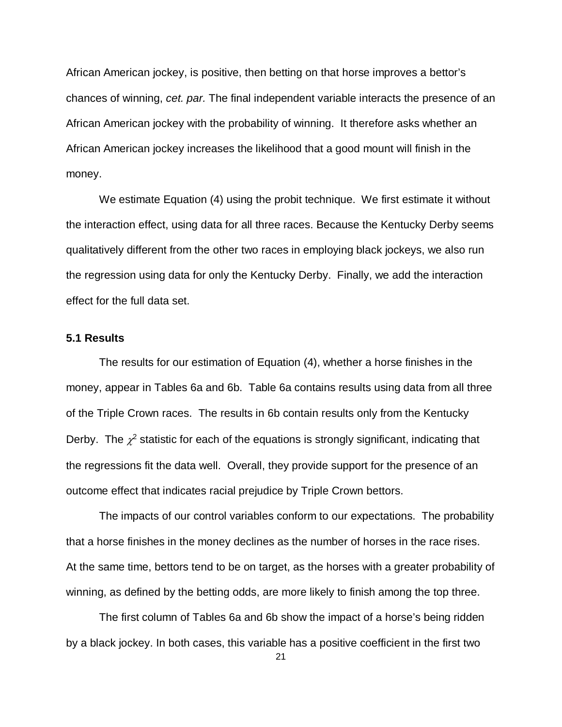African American jockey, is positive, then betting on that horse improves a bettor's chances of winning, *cet. par.* The final independent variable interacts the presence of an African American jockey with the probability of winning. It therefore asks whether an African American jockey increases the likelihood that a good mount will finish in the money.

We estimate Equation (4) using the probit technique. We first estimate it without the interaction effect, using data for all three races. Because the Kentucky Derby seems qualitatively different from the other two races in employing black jockeys, we also run the regression using data for only the Kentucky Derby. Finally, we add the interaction effect for the full data set.

#### **5.1 Results**

The results for our estimation of Equation (4), whether a horse finishes in the money, appear in Tables 6a and 6b. Table 6a contains results using data from all three of the Triple Crown races. The results in 6b contain results only from the Kentucky Derby. The  $\chi^2$  statistic for each of the equations is strongly significant, indicating that the regressions fit the data well. Overall, they provide support for the presence of an outcome effect that indicates racial prejudice by Triple Crown bettors.

The impacts of our control variables conform to our expectations. The probability that a horse finishes in the money declines as the number of horses in the race rises. At the same time, bettors tend to be on target, as the horses with a greater probability of winning, as defined by the betting odds, are more likely to finish among the top three.

The first column of Tables 6a and 6b show the impact of a horse's being ridden by a black jockey. In both cases, this variable has a positive coefficient in the first two

21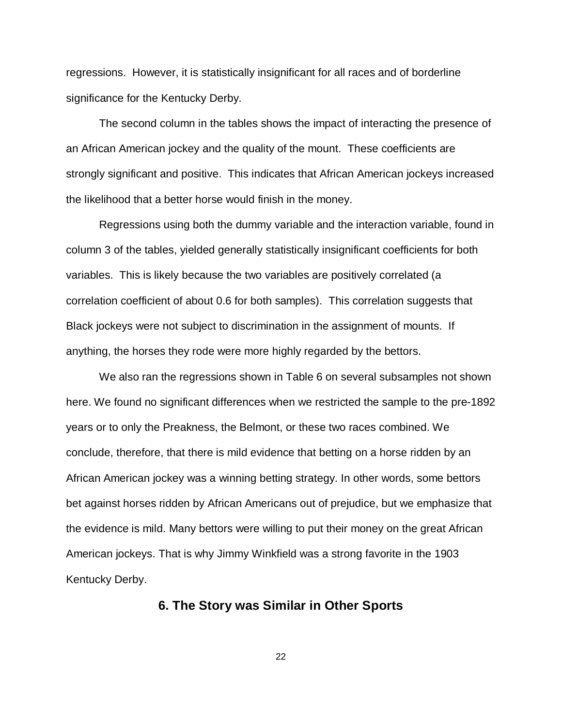regressions. However, it is statistically insignificant for all races and of borderline significance for the Kentucky Derby.

The second column in the tables shows the impact of interacting the presence of an African American jockey and the quality of the mount. These coefficients are strongly significant and positive. This indicates that African American jockeys increased the likelihood that a better horse would finish in the money.

Regressions using both the dummy variable and the interaction variable, found in column 3 of the tables, yielded generally statistically insignificant coefficients for both variables. This is likely because the two variables are positively correlated (a correlation coefficient of about 0.6 for both samples). This correlation suggests that Black jockeys were not subject to discrimination in the assignment of mounts. If anything, the horses they rode were more highly regarded by the bettors.

We also ran the regressions shown in Table 6 on several subsamples not shown here. We found no significant differences when we restricted the sample to the pre-1892 years or to only the Preakness, the Belmont, or these two races combined. We conclude, therefore, that there is mild evidence that betting on a horse ridden by an African American jockey was a winning betting strategy. In other words, some bettors bet against horses ridden by African Americans out of prejudice, but we emphasize that the evidence is mild. Many bettors were willing to put their money on the great African American jockeys. That is why Jimmy Winkfield was a strong favorite in the 1903 Kentucky Derby.

#### **6. The Story was Similar in Other Sports**

22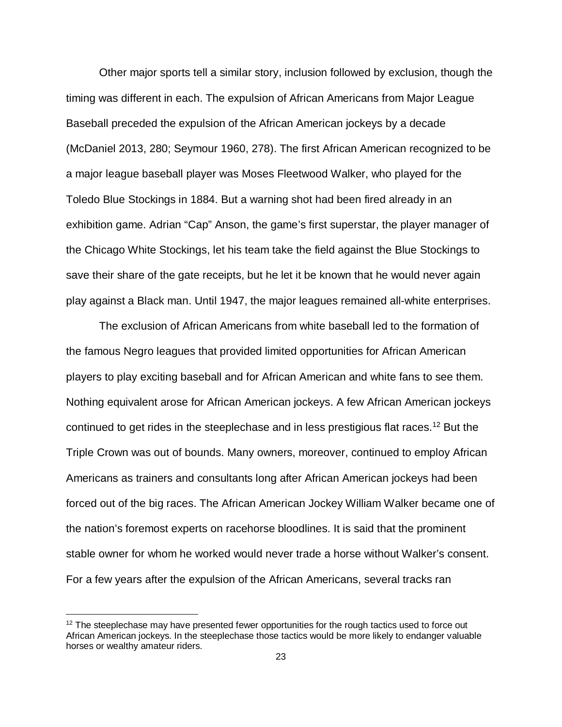Other major sports tell a similar story, inclusion followed by exclusion, though the timing was different in each. The expulsion of African Americans from Major League Baseball preceded the expulsion of the African American jockeys by a decade (McDaniel 2013, 280; Seymour 1960, 278). The first African American recognized to be a major league baseball player was Moses Fleetwood Walker, who played for the Toledo Blue Stockings in 1884. But a warning shot had been fired already in an exhibition game. Adrian "Cap" Anson, the game's first superstar, the player manager of the Chicago White Stockings, let his team take the field against the Blue Stockings to save their share of the gate receipts, but he let it be known that he would never again play against a Black man. Until 1947, the major leagues remained all-white enterprises.

The exclusion of African Americans from white baseball led to the formation of the famous Negro leagues that provided limited opportunities for African American players to play exciting baseball and for African American and white fans to see them. Nothing equivalent arose for African American jockeys. A few African American jockeys continued to get rides in the steeplechase and in less prestigious flat races[.12](#page-22-0) But the Triple Crown was out of bounds. Many owners, moreover, continued to employ African Americans as trainers and consultants long after African American jockeys had been forced out of the big races. The African American Jockey William Walker became one of the nation's foremost experts on racehorse bloodlines. It is said that the prominent stable owner for whom he worked would never trade a horse without Walker's consent. For a few years after the expulsion of the African Americans, several tracks ran

 $\overline{a}$ 

<span id="page-22-0"></span> $12$  The steeplechase may have presented fewer opportunities for the rough tactics used to force out African American jockeys. In the steeplechase those tactics would be more likely to endanger valuable horses or wealthy amateur riders.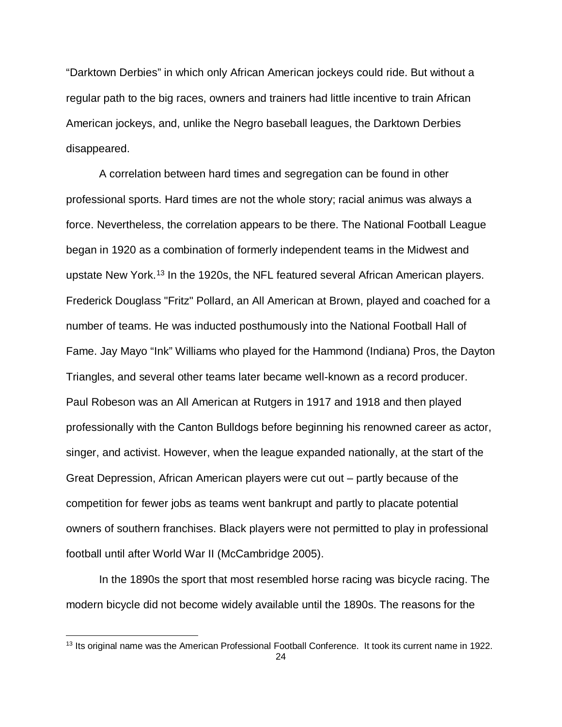"Darktown Derbies" in which only African American jockeys could ride. But without a regular path to the big races, owners and trainers had little incentive to train African American jockeys, and, unlike the Negro baseball leagues, the Darktown Derbies disappeared.

A correlation between hard times and segregation can be found in other professional sports. Hard times are not the whole story; racial animus was always a force. Nevertheless, the correlation appears to be there. The National Football League began in 1920 as a combination of formerly independent teams in the Midwest and upstate New York.<sup>[13](#page-23-0)</sup> In the 1920s, the NFL featured several African American players. Frederick Douglass "Fritz" Pollard, an All American at Brown, played and coached for a number of teams. He was inducted posthumously into the National Football Hall of Fame. Jay Mayo "Ink" Williams who played for the Hammond (Indiana) Pros, the Dayton Triangles, and several other teams later became well-known as a record producer. Paul Robeson was an All American at Rutgers in 1917 and 1918 and then played professionally with the Canton Bulldogs before beginning his renowned career as actor, singer, and activist. However, when the league expanded nationally, at the start of the Great Depression, African American players were cut out – partly because of the competition for fewer jobs as teams went bankrupt and partly to placate potential owners of southern franchises. Black players were not permitted to play in professional football until after World War II (McCambridge 2005).

In the 1890s the sport that most resembled horse racing was bicycle racing. The modern bicycle did not become widely available until the 1890s. The reasons for the

 $\overline{a}$ 

<span id="page-23-0"></span><sup>&</sup>lt;sup>13</sup> Its original name was the American Professional Football Conference. It took its current name in 1922.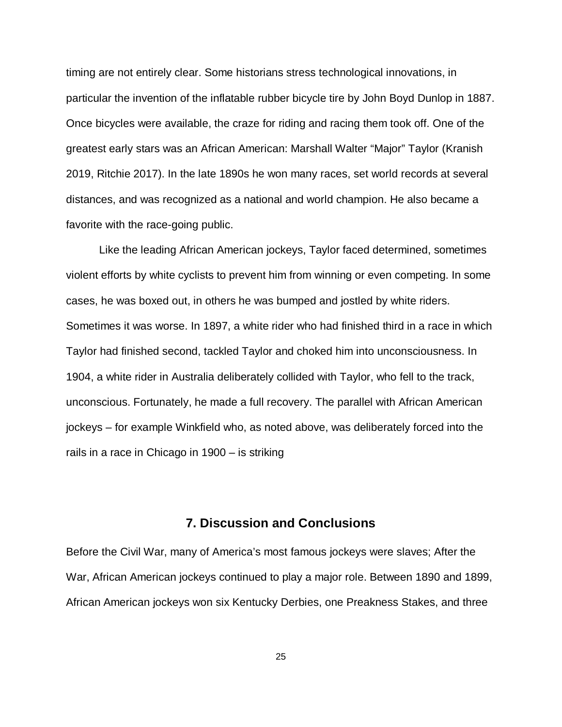timing are not entirely clear. Some historians stress technological innovations, in particular the invention of the inflatable rubber bicycle tire by John Boyd Dunlop in 1887. Once bicycles were available, the craze for riding and racing them took off. One of the greatest early stars was an African American: Marshall Walter "Major" Taylor (Kranish 2019, Ritchie 2017). In the late 1890s he won many races, set world records at several distances, and was recognized as a national and world champion. He also became a favorite with the race-going public.

Like the leading African American jockeys, Taylor faced determined, sometimes violent efforts by white cyclists to prevent him from winning or even competing. In some cases, he was boxed out, in others he was bumped and jostled by white riders. Sometimes it was worse. In 1897, a white rider who had finished third in a race in which Taylor had finished second, tackled Taylor and choked him into unconsciousness. In 1904, a white rider in Australia deliberately collided with Taylor, who fell to the track, unconscious. Fortunately, he made a full recovery. The parallel with African American jockeys – for example Winkfield who, as noted above, was deliberately forced into the rails in a race in Chicago in 1900 – is striking

#### **7. Discussion and Conclusions**

Before the Civil War, many of America's most famous jockeys were slaves; After the War, African American jockeys continued to play a major role. Between 1890 and 1899, African American jockeys won six Kentucky Derbies, one Preakness Stakes, and three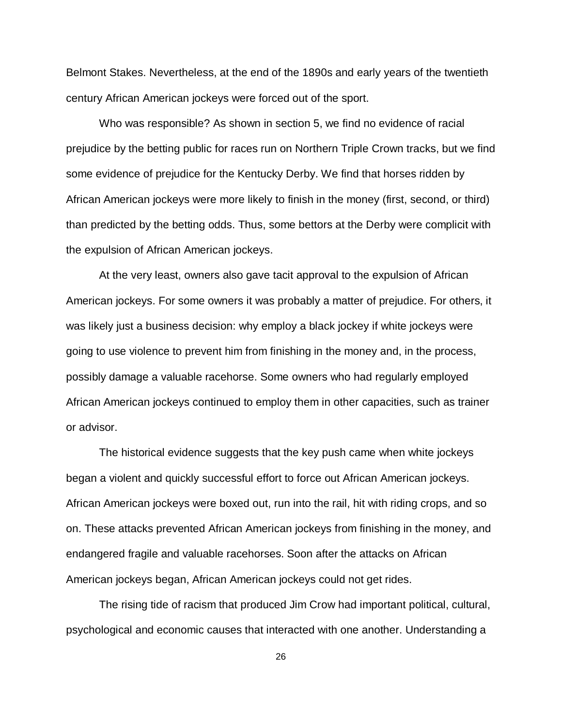Belmont Stakes. Nevertheless, at the end of the 1890s and early years of the twentieth century African American jockeys were forced out of the sport.

Who was responsible? As shown in section 5, we find no evidence of racial prejudice by the betting public for races run on Northern Triple Crown tracks, but we find some evidence of prejudice for the Kentucky Derby. We find that horses ridden by African American jockeys were more likely to finish in the money (first, second, or third) than predicted by the betting odds. Thus, some bettors at the Derby were complicit with the expulsion of African American jockeys.

At the very least, owners also gave tacit approval to the expulsion of African American jockeys. For some owners it was probably a matter of prejudice. For others, it was likely just a business decision: why employ a black jockey if white jockeys were going to use violence to prevent him from finishing in the money and, in the process, possibly damage a valuable racehorse. Some owners who had regularly employed African American jockeys continued to employ them in other capacities, such as trainer or advisor.

The historical evidence suggests that the key push came when white jockeys began a violent and quickly successful effort to force out African American jockeys. African American jockeys were boxed out, run into the rail, hit with riding crops, and so on. These attacks prevented African American jockeys from finishing in the money, and endangered fragile and valuable racehorses. Soon after the attacks on African American jockeys began, African American jockeys could not get rides.

The rising tide of racism that produced Jim Crow had important political, cultural, psychological and economic causes that interacted with one another. Understanding a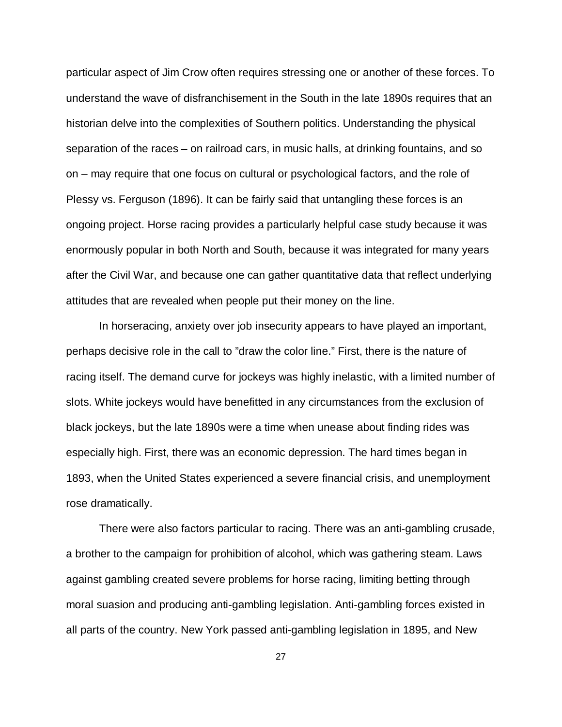particular aspect of Jim Crow often requires stressing one or another of these forces. To understand the wave of disfranchisement in the South in the late 1890s requires that an historian delve into the complexities of Southern politics. Understanding the physical separation of the races – on railroad cars, in music halls, at drinking fountains, and so on – may require that one focus on cultural or psychological factors, and the role of Plessy vs. Ferguson (1896). It can be fairly said that untangling these forces is an ongoing project. Horse racing provides a particularly helpful case study because it was enormously popular in both North and South, because it was integrated for many years after the Civil War, and because one can gather quantitative data that reflect underlying attitudes that are revealed when people put their money on the line.

In horseracing, anxiety over job insecurity appears to have played an important, perhaps decisive role in the call to "draw the color line." First, there is the nature of racing itself. The demand curve for jockeys was highly inelastic, with a limited number of slots. White jockeys would have benefitted in any circumstances from the exclusion of black jockeys, but the late 1890s were a time when unease about finding rides was especially high. First, there was an economic depression. The hard times began in 1893, when the United States experienced a severe financial crisis, and unemployment rose dramatically.

There were also factors particular to racing. There was an anti-gambling crusade, a brother to the campaign for prohibition of alcohol, which was gathering steam. Laws against gambling created severe problems for horse racing, limiting betting through moral suasion and producing anti-gambling legislation. Anti-gambling forces existed in all parts of the country. New York passed anti-gambling legislation in 1895, and New

27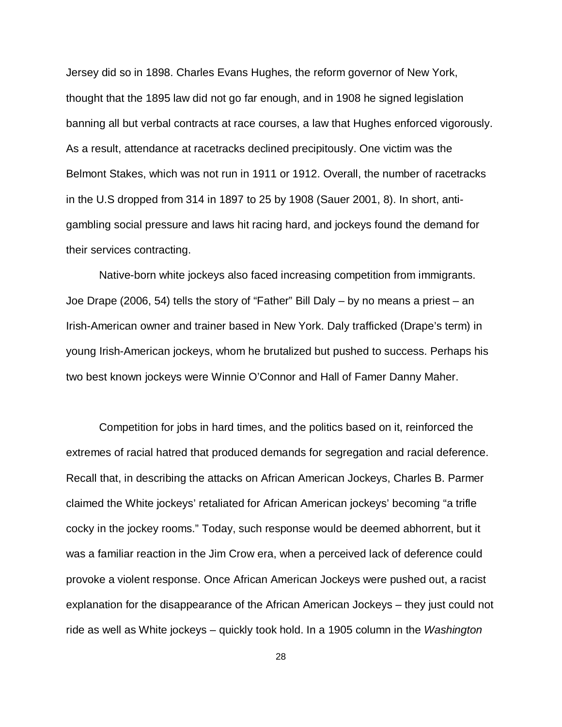Jersey did so in 1898. Charles Evans Hughes, the reform governor of New York, thought that the 1895 law did not go far enough, and in 1908 he signed legislation banning all but verbal contracts at race courses, a law that Hughes enforced vigorously. As a result, attendance at racetracks declined precipitously. One victim was the Belmont Stakes, which was not run in 1911 or 1912. Overall, the number of racetracks in the U.S dropped from 314 in 1897 to 25 by 1908 (Sauer 2001, 8). In short, antigambling social pressure and laws hit racing hard, and jockeys found the demand for their services contracting.

Native-born white jockeys also faced increasing competition from immigrants. Joe Drape (2006, 54) tells the story of "Father" Bill Daly – by no means a priest – an Irish-American owner and trainer based in New York. Daly trafficked (Drape's term) in young Irish-American jockeys, whom he brutalized but pushed to success. Perhaps his two best known jockeys were Winnie O'Connor and Hall of Famer Danny Maher.

Competition for jobs in hard times, and the politics based on it, reinforced the extremes of racial hatred that produced demands for segregation and racial deference. Recall that, in describing the attacks on African American Jockeys, Charles B. Parmer claimed the White jockeys' retaliated for African American jockeys' becoming "a trifle cocky in the jockey rooms." Today, such response would be deemed abhorrent, but it was a familiar reaction in the Jim Crow era, when a perceived lack of deference could provoke a violent response. Once African American Jockeys were pushed out, a racist explanation for the disappearance of the African American Jockeys – they just could not ride as well as White jockeys – quickly took hold. In a 1905 column in the *Washington* 

28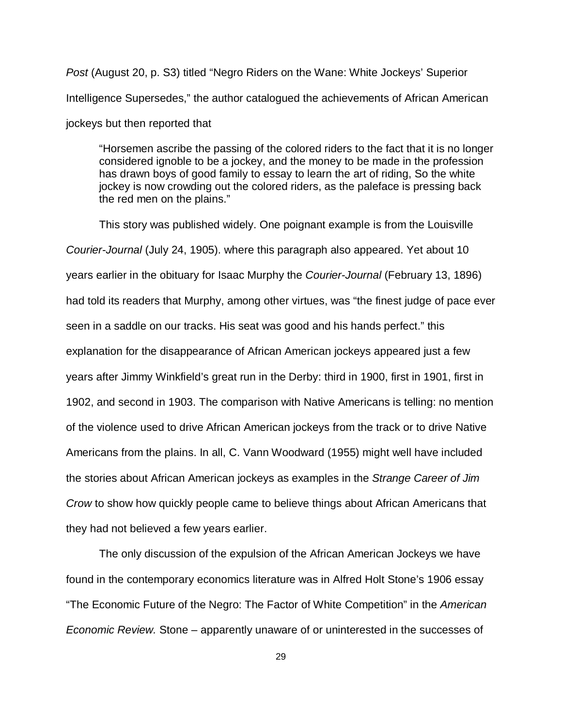*Post* (August 20, p. S3) titled "Negro Riders on the Wane: White Jockeys' Superior Intelligence Supersedes," the author catalogued the achievements of African American jockeys but then reported that

"Horsemen ascribe the passing of the colored riders to the fact that it is no longer considered ignoble to be a jockey, and the money to be made in the profession has drawn boys of good family to essay to learn the art of riding, So the white jockey is now crowding out the colored riders, as the paleface is pressing back the red men on the plains."

This story was published widely. One poignant example is from the Louisville *Courier-Journal* (July 24, 1905). where this paragraph also appeared. Yet about 10 years earlier in the obituary for Isaac Murphy the *Courier-Journal* (February 13, 1896) had told its readers that Murphy, among other virtues, was "the finest judge of pace ever seen in a saddle on our tracks. His seat was good and his hands perfect." this explanation for the disappearance of African American jockeys appeared just a few years after Jimmy Winkfield's great run in the Derby: third in 1900, first in 1901, first in 1902, and second in 1903. The comparison with Native Americans is telling: no mention of the violence used to drive African American jockeys from the track or to drive Native Americans from the plains. In all, C. Vann Woodward (1955) might well have included the stories about African American jockeys as examples in the *Strange Career of Jim Crow* to show how quickly people came to believe things about African Americans that they had not believed a few years earlier.

The only discussion of the expulsion of the African American Jockeys we have found in the contemporary economics literature was in Alfred Holt Stone's 1906 essay "The Economic Future of the Negro: The Factor of White Competition" in the *American Economic Review.* Stone – apparently unaware of or uninterested in the successes of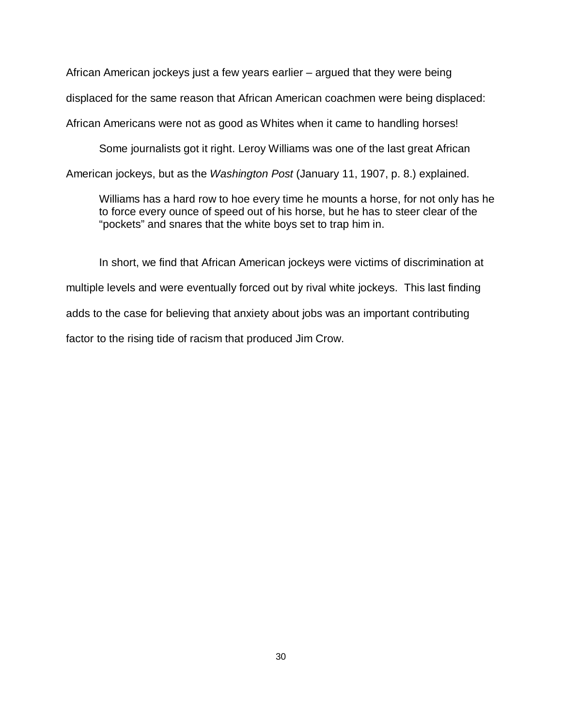African American jockeys just a few years earlier – argued that they were being displaced for the same reason that African American coachmen were being displaced: African Americans were not as good as Whites when it came to handling horses!

Some journalists got it right. Leroy Williams was one of the last great African American jockeys, but as the *Washington Post* (January 11, 1907, p. 8.) explained.

Williams has a hard row to hoe every time he mounts a horse, for not only has he to force every ounce of speed out of his horse, but he has to steer clear of the "pockets" and snares that the white boys set to trap him in.

In short, we find that African American jockeys were victims of discrimination at multiple levels and were eventually forced out by rival white jockeys. This last finding adds to the case for believing that anxiety about jobs was an important contributing factor to the rising tide of racism that produced Jim Crow.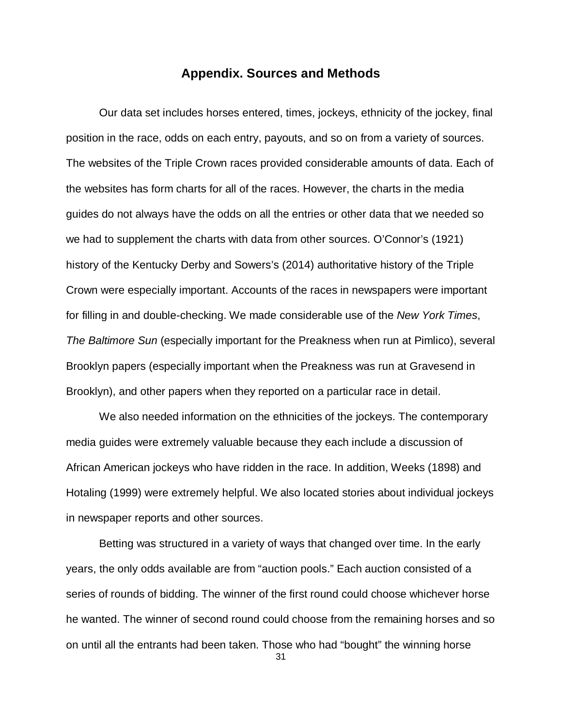#### **Appendix. Sources and Methods**

Our data set includes horses entered, times, jockeys, ethnicity of the jockey, final position in the race, odds on each entry, payouts, and so on from a variety of sources. The websites of the Triple Crown races provided considerable amounts of data. Each of the websites has form charts for all of the races. However, the charts in the media guides do not always have the odds on all the entries or other data that we needed so we had to supplement the charts with data from other sources. O'Connor's (1921) history of the Kentucky Derby and Sowers's (2014) authoritative history of the Triple Crown were especially important. Accounts of the races in newspapers were important for filling in and double-checking. We made considerable use of the *New York Times*, *The Baltimore Sun* (especially important for the Preakness when run at Pimlico), several Brooklyn papers (especially important when the Preakness was run at Gravesend in Brooklyn), and other papers when they reported on a particular race in detail.

We also needed information on the ethnicities of the jockeys. The contemporary media guides were extremely valuable because they each include a discussion of African American jockeys who have ridden in the race. In addition, Weeks (1898) and Hotaling (1999) were extremely helpful. We also located stories about individual jockeys in newspaper reports and other sources.

Betting was structured in a variety of ways that changed over time. In the early years, the only odds available are from "auction pools." Each auction consisted of a series of rounds of bidding. The winner of the first round could choose whichever horse he wanted. The winner of second round could choose from the remaining horses and so on until all the entrants had been taken. Those who had "bought" the winning horse

31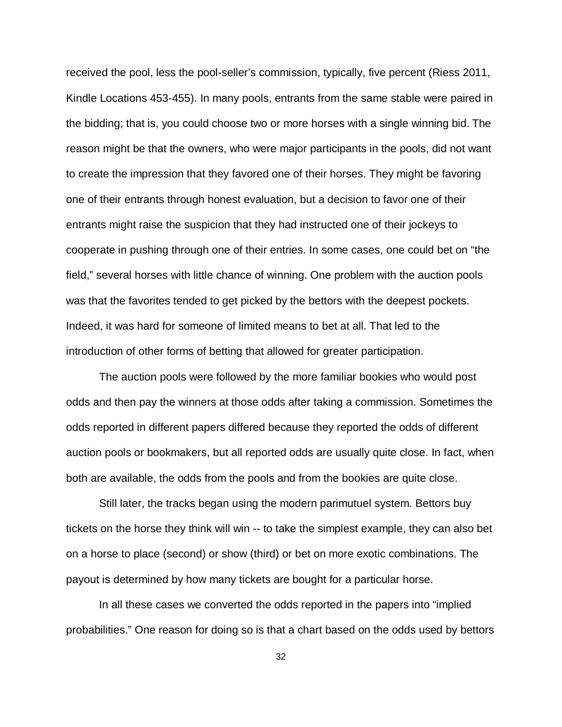received the pool, less the pool-seller's commission, typically, five percent (Riess 2011, Kindle Locations 453-455). In many pools, entrants from the same stable were paired in the bidding; that is, you could choose two or more horses with a single winning bid. The reason might be that the owners, who were major participants in the pools, did not want to create the impression that they favored one of their horses. They might be favoring one of their entrants through honest evaluation, but a decision to favor one of their entrants might raise the suspicion that they had instructed one of their jockeys to cooperate in pushing through one of their entries. In some cases, one could bet on "the field," several horses with little chance of winning. One problem with the auction pools was that the favorites tended to get picked by the bettors with the deepest pockets. Indeed, it was hard for someone of limited means to bet at all. That led to the introduction of other forms of betting that allowed for greater participation.

The auction pools were followed by the more familiar bookies who would post odds and then pay the winners at those odds after taking a commission. Sometimes the odds reported in different papers differed because they reported the odds of different auction pools or bookmakers, but all reported odds are usually quite close. In fact, when both are available, the odds from the pools and from the bookies are quite close.

Still later, the tracks began using the modern parimutuel system. Bettors buy tickets on the horse they think will win -- to take the simplest example, they can also bet on a horse to place (second) or show (third) or bet on more exotic combinations. The payout is determined by how many tickets are bought for a particular horse.

In all these cases we converted the odds reported in the papers into "implied probabilities." One reason for doing so is that a chart based on the odds used by bettors

32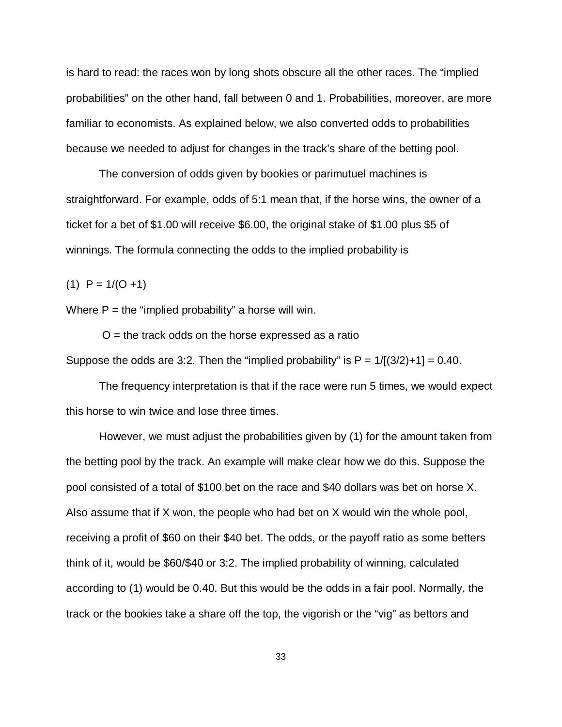is hard to read: the races won by long shots obscure all the other races. The "implied probabilities" on the other hand, fall between 0 and 1. Probabilities, moreover, are more familiar to economists. As explained below, we also converted odds to probabilities because we needed to adjust for changes in the track's share of the betting pool.

The conversion of odds given by bookies or parimutuel machines is straightforward. For example, odds of 5:1 mean that, if the horse wins, the owner of a ticket for a bet of \$1.00 will receive \$6.00, the original stake of \$1.00 plus \$5 of winnings. The formula connecting the odds to the implied probability is

 $(1)$  P = 1/(O +1)

Where  $P =$  the "implied probability" a horse will win.

 $O =$  the track odds on the horse expressed as a ratio Suppose the odds are 3:2. Then the "implied probability" is  $P = 1/[(3/2)+1] = 0.40$ .

The frequency interpretation is that if the race were run 5 times, we would expect this horse to win twice and lose three times.

 However, we must adjust the probabilities given by (1) for the amount taken from the betting pool by the track. An example will make clear how we do this. Suppose the pool consisted of a total of \$100 bet on the race and \$40 dollars was bet on horse X. Also assume that if X won, the people who had bet on X would win the whole pool, receiving a profit of \$60 on their \$40 bet. The odds, or the payoff ratio as some betters think of it, would be \$60/\$40 or 3:2. The implied probability of winning, calculated according to (1) would be 0.40. But this would be the odds in a fair pool. Normally, the track or the bookies take a share off the top, the vigorish or the "vig" as bettors and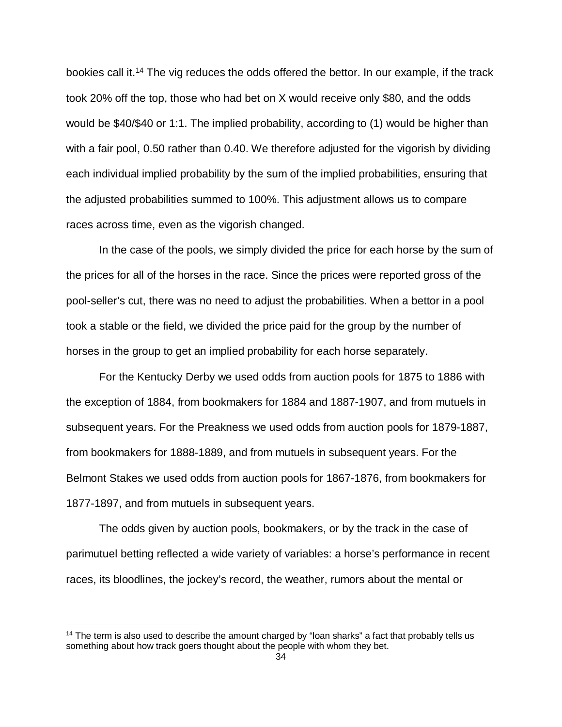bookies call it.<sup>[14](#page-33-0)</sup> The vig reduces the odds offered the bettor. In our example, if the track took 20% off the top, those who had bet on X would receive only \$80, and the odds would be \$40/\$40 or 1:1. The implied probability, according to (1) would be higher than with a fair pool, 0.50 rather than 0.40. We therefore adjusted for the vigorish by dividing each individual implied probability by the sum of the implied probabilities, ensuring that the adjusted probabilities summed to 100%. This adjustment allows us to compare races across time, even as the vigorish changed.

In the case of the pools, we simply divided the price for each horse by the sum of the prices for all of the horses in the race. Since the prices were reported gross of the pool-seller's cut, there was no need to adjust the probabilities. When a bettor in a pool took a stable or the field, we divided the price paid for the group by the number of horses in the group to get an implied probability for each horse separately.

For the Kentucky Derby we used odds from auction pools for 1875 to 1886 with the exception of 1884, from bookmakers for 1884 and 1887-1907, and from mutuels in subsequent years. For the Preakness we used odds from auction pools for 1879-1887, from bookmakers for 1888-1889, and from mutuels in subsequent years. For the Belmont Stakes we used odds from auction pools for 1867-1876, from bookmakers for 1877-1897, and from mutuels in subsequent years.

The odds given by auction pools, bookmakers, or by the track in the case of parimutuel betting reflected a wide variety of variables: a horse's performance in recent races, its bloodlines, the jockey's record, the weather, rumors about the mental or

 $\overline{a}$ 

<span id="page-33-0"></span> $14$  The term is also used to describe the amount charged by "loan sharks" a fact that probably tells us something about how track goers thought about the people with whom they bet.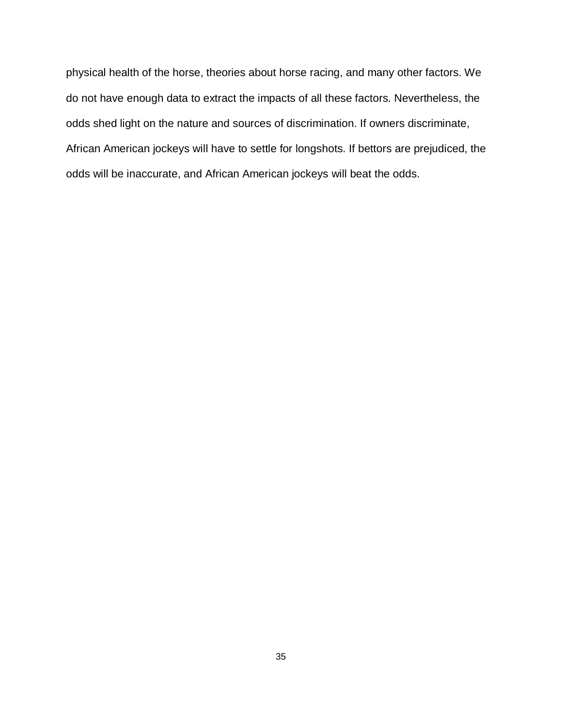physical health of the horse, theories about horse racing, and many other factors. We do not have enough data to extract the impacts of all these factors. Nevertheless, the odds shed light on the nature and sources of discrimination. If owners discriminate, African American jockeys will have to settle for longshots. If bettors are prejudiced, the odds will be inaccurate, and African American jockeys will beat the odds.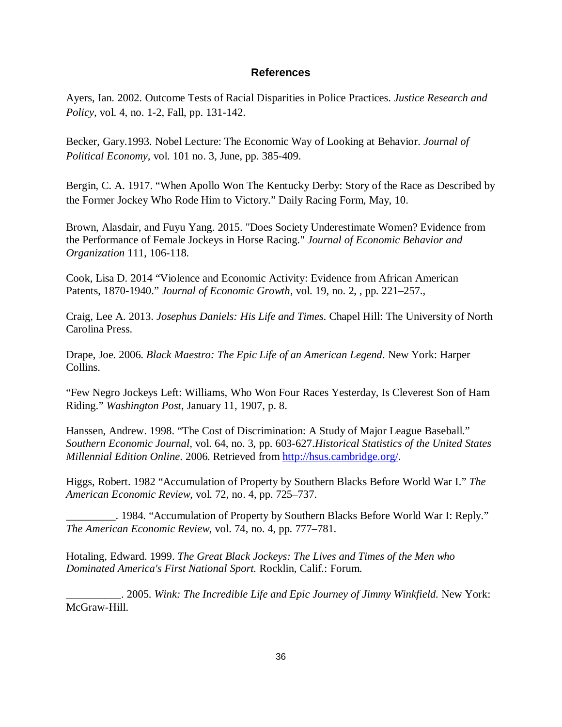#### **References**

Ayers, Ian. 2002. Outcome Tests of Racial Disparities in Police Practices. *Justice Research and Policy,* vol. 4, no. 1-2, Fall, pp. 131-142.

Becker, Gary.1993. Nobel Lecture: The Economic Way of Looking at Behavior. *Journal of Political Economy,* vol. 101 no. 3, June, pp. 385-409.

Bergin, C. A. 1917. "When Apollo Won The Kentucky Derby: Story of the Race as Described by the Former Jockey Who Rode Him to Victory." Daily Racing Form, May, 10.

Brown, Alasdair, and Fuyu Yang. 2015. "Does Society Underestimate Women? Evidence from the Performance of Female Jockeys in Horse Racing." *Journal of Economic Behavior and Organization* 111, 106-118.

Cook, Lisa D. 2014 "Violence and Economic Activity: Evidence from African American Patents, 1870-1940." *Journal of Economic Growth*, vol. 19, no. 2, , pp. 221–257.,

Craig, Lee A. 2013. *Josephus Daniels: His Life and Times*. Chapel Hill: The University of North Carolina Press.

Drape, Joe. 2006. *Black Maestro: The Epic Life of an American Legend*. New York: Harper Collins.

"Few Negro Jockeys Left: Williams, Who Won Four Races Yesterday, Is Cleverest Son of Ham Riding." *Washington Post*, January 11, 1907, p. 8.

Hanssen, Andrew. 1998. "The Cost of Discrimination: A Study of Major League Baseball." *Southern Economic Journal,* vol. 64, no. 3, pp. 603-627.*Historical Statistics of the United States Millennial Edition Online*. 2006. Retrieved from [http://hsus.cambridge.org/.](http://hsus.cambridge.org/)

Higgs, Robert. 1982 "Accumulation of Property by Southern Blacks Before World War I." *The American Economic Review*, vol. 72, no. 4, pp. 725–737.

\_\_\_\_\_\_\_\_\_. 1984. "Accumulation of Property by Southern Blacks Before World War I: Reply." *The American Economic Review*, vol. 74, no. 4, pp. 777–781.

Hotaling, Edward. 1999. *The Great Black Jockeys: The Lives and Times of the Men who Dominated America's First National Sport.* Rocklin, Calif.: Forum.

\_\_\_\_\_\_\_\_\_\_. 2005. *Wink: The Incredible Life and Epic Journey of Jimmy Winkfield.* New York: McGraw-Hill.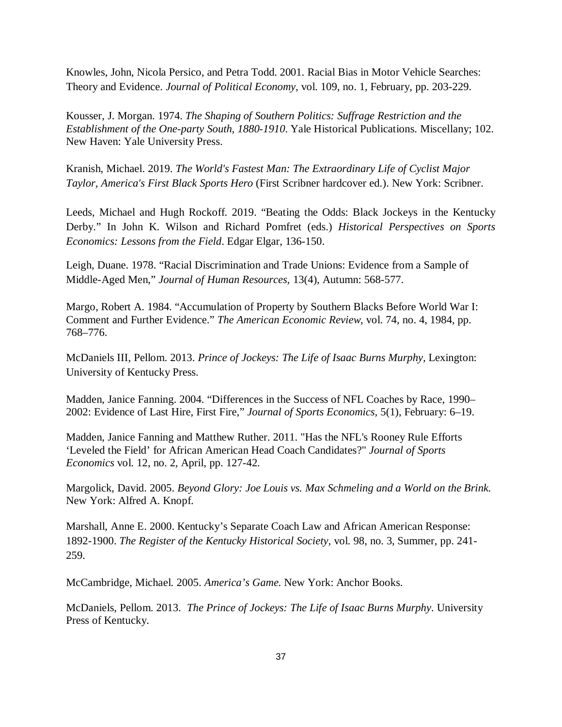Knowles, John, Nicola Persico, and Petra Todd. 2001. Racial Bias in Motor Vehicle Searches: Theory and Evidence. *Journal of Political Economy,* vol. 109, no. 1, February, pp. 203-229.

Kousser, J. Morgan. 1974. *The Shaping of Southern Politics: Suffrage Restriction and the Establishment of the One-party South, 1880-1910*. Yale Historical Publications. Miscellany; 102. New Haven: Yale University Press.

Kranish, Michael. 2019. *The World's Fastest Man: The Extraordinary Life of Cyclist Major Taylor, America's First Black Sports Hero* (First Scribner hardcover ed.). New York: Scribner.

Leeds, Michael and Hugh Rockoff. 2019. "Beating the Odds: Black Jockeys in the Kentucky Derby." In John K. Wilson and Richard Pomfret (eds.) *Historical Perspectives on Sports Economics: Lessons from the Field*. Edgar Elgar, 136-150.

Leigh, Duane. 1978. "Racial Discrimination and Trade Unions: Evidence from a Sample of Middle-Aged Men," *Journal of Human Resources,* 13(4), Autumn: 568-577.

Margo, Robert A. 1984. "Accumulation of Property by Southern Blacks Before World War I: Comment and Further Evidence." *The American Economic Review*, vol. 74, no. 4, 1984, pp. 768–776.

McDaniels III, Pellom. 2013. *Prince of Jockeys: The Life of Isaac Burns Murphy,* Lexington: University of Kentucky Press.

Madden, Janice Fanning. 2004. "Differences in the Success of NFL Coaches by Race, 1990– 2002: Evidence of Last Hire, First Fire," *Journal of Sports Economics,* 5(1), February: 6–19.

Madden, Janice Fanning and Matthew Ruther. 2011. "Has the NFL's Rooney Rule Efforts 'Leveled the Field' for African American Head Coach Candidates?" *Journal of Sports Economics* vol. 12, no. 2, April, pp. 127-42.

Margolick, David. 2005. *Beyond Glory: Joe Louis vs. Max Schmeling and a World on the Brink.* New York: Alfred A. Knopf.

Marshall, Anne E. 2000. Kentucky's Separate Coach Law and African American Response: 1892-1900. *The Register of the Kentucky Historical Society,* vol. 98, no. 3, Summer, pp. 241- 259.

McCambridge, Michael. 2005. *America's Game.* New York: Anchor Books.

McDaniels, Pellom. 2013. *The Prince of Jockeys: The Life of Isaac Burns Murphy*. University Press of Kentucky.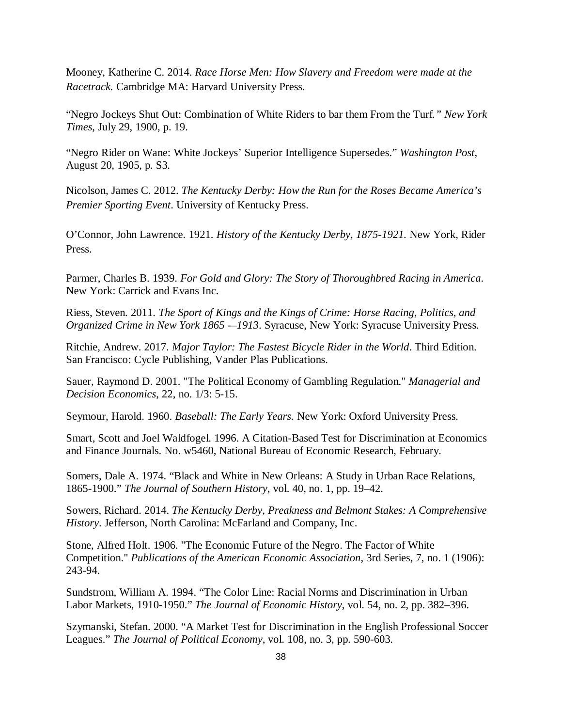Mooney, Katherine C. 2014. *Race Horse Men: How Slavery and Freedom were made at the Racetrack.* Cambridge MA: Harvard University Press.

"Negro Jockeys Shut Out: Combination of White Riders to bar them From the Turf*." New York Times*, July 29, 1900, p. 19.

"Negro Rider on Wane: White Jockeys' Superior Intelligence Supersedes." *Washington Post*, August 20, 1905, p. S3.

Nicolson, James C. 2012. *The Kentucky Derby: How the Run for the Roses Became America's Premier Sporting Event*. University of Kentucky Press.

O'Connor, John Lawrence. 1921. *History of the Kentucky Derby, 1875-1921.* New York, Rider Press.

Parmer, Charles B. 1939. *For Gold and Glory: The Story of Thoroughbred Racing in America*. New York: Carrick and Evans Inc.

Riess, Steven. 2011. *The Sport of Kings and the Kings of Crime: Horse Racing, Politics, and Organized Crime in New York 1865 -–1913*. Syracuse, New York: Syracuse University Press.

Ritchie, Andrew. 2017. *Major Taylor: The Fastest Bicycle Rider in the World*. Third Edition. San Francisco: Cycle Publishing, Vander Plas Publications.

Sauer, Raymond D. 2001. "The Political Economy of Gambling Regulation." *Managerial and Decision Economics*, 22, no. 1/3: 5-15.

Seymour, Harold. 1960. *Baseball: The Early Years.* New York: Oxford University Press.

Smart, Scott and Joel Waldfogel. 1996. A Citation-Based Test for Discrimination at Economics and Finance Journals. No. w5460, National Bureau of Economic Research, February.

Somers, Dale A. 1974. "Black and White in New Orleans: A Study in Urban Race Relations, 1865-1900." *The Journal of Southern History*, vol. 40, no. 1, pp. 19–42.

Sowers, Richard. 2014. *The Kentucky Derby, Preakness and Belmont Stakes: A Comprehensive History*. Jefferson, North Carolina: McFarland and Company, Inc.

Stone, Alfred Holt. 1906. "The Economic Future of the Negro. The Factor of White Competition." *Publications of the American Economic Association*, 3rd Series, 7, no. 1 (1906): 243-94.

Sundstrom, William A. 1994. "The Color Line: Racial Norms and Discrimination in Urban Labor Markets, 1910-1950." *The Journal of Economic History*, vol. 54, no. 2, pp. 382–396.

Szymanski, Stefan. 2000. "A Market Test for Discrimination in the English Professional Soccer Leagues." *The Journal of Political Economy,* vol. 108, no. 3, pp. 590-603.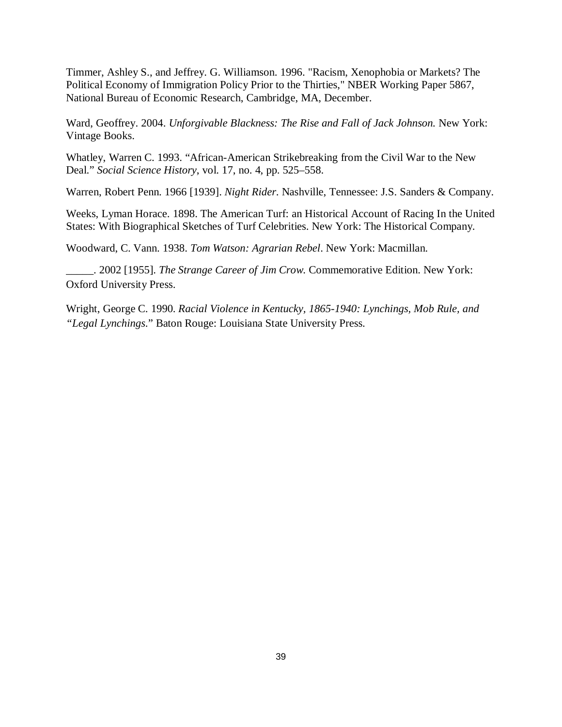Timmer, Ashley S., and Jeffrey. G. Williamson. 1996. "Racism, Xenophobia or Markets? The Political Economy of Immigration Policy Prior to the Thirties," NBER Working Paper 5867, National Bureau of Economic Research, Cambridge, MA, December.

Ward, Geoffrey. 2004. *Unforgivable Blackness: The Rise and Fall of Jack Johnson.* New York: Vintage Books.

Whatley, Warren C. 1993. "African-American Strikebreaking from the Civil War to the New Deal." *Social Science History*, vol. 17, no. 4, pp. 525–558.

Warren, Robert Penn. 1966 [1939]. *Night Rider*. Nashville, Tennessee: J.S. Sanders & Company.

Weeks, Lyman Horace. 1898. The American Turf: an Historical Account of Racing In the United States: With Biographical Sketches of Turf Celebrities. New York: The Historical Company.

Woodward, C. Vann. 1938. *Tom Watson: Agrarian Rebel*. New York: Macmillan.

\_\_\_\_\_. 2002 [1955]. *The Strange Career of Jim Crow*. Commemorative Edition. New York: Oxford University Press.

Wright, George C. 1990. *Racial Violence in Kentucky, 1865-1940: Lynchings, Mob Rule, and "Legal Lynchings*." Baton Rouge: Louisiana State University Press.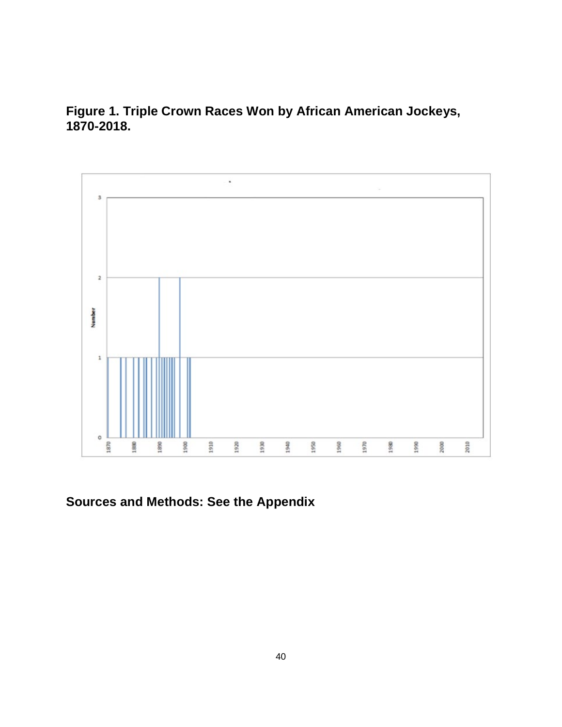

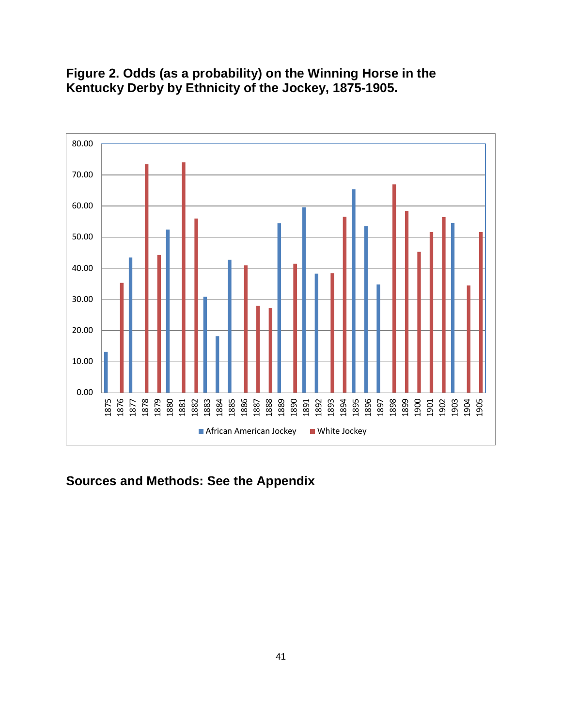**Figure 2. Odds (as a probability) on the Winning Horse in the Kentucky Derby by Ethnicity of the Jockey, 1875-1905.**

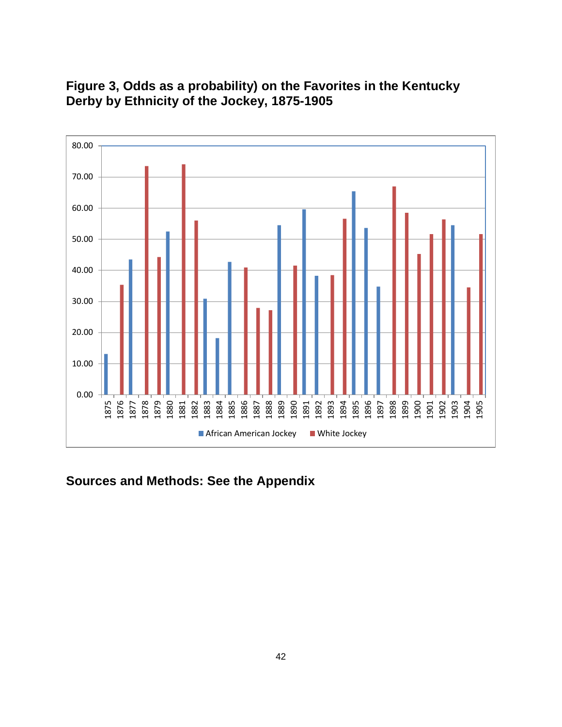

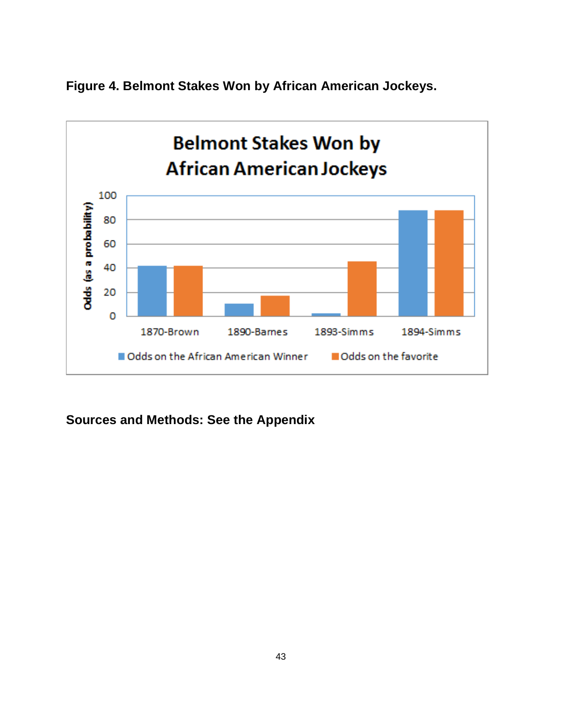

**Figure 4. Belmont Stakes Won by African American Jockeys.**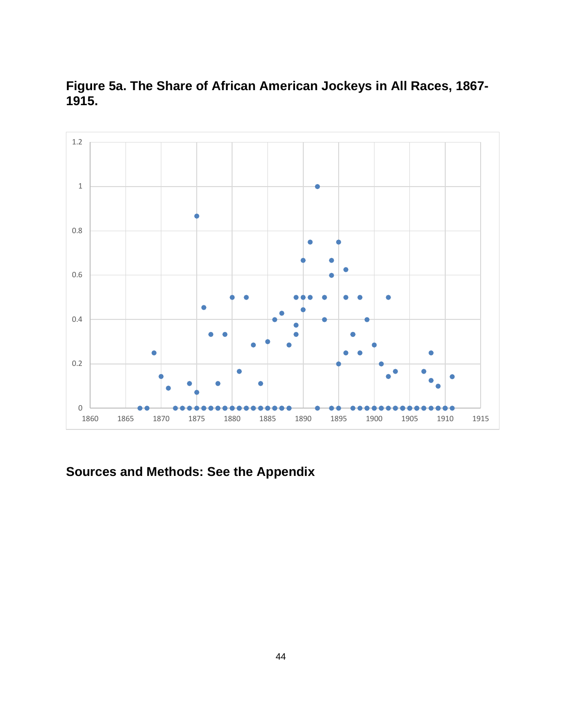

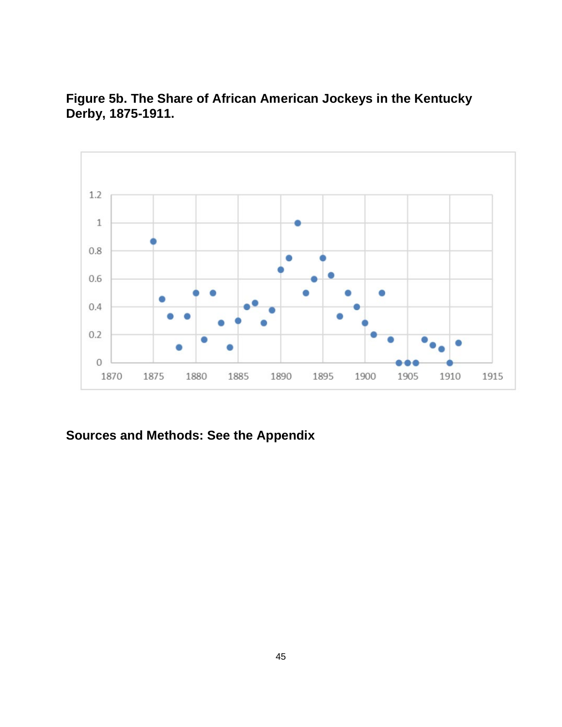**Figure 5b. The Share of African American Jockeys in the Kentucky Derby, 1875-1911.**

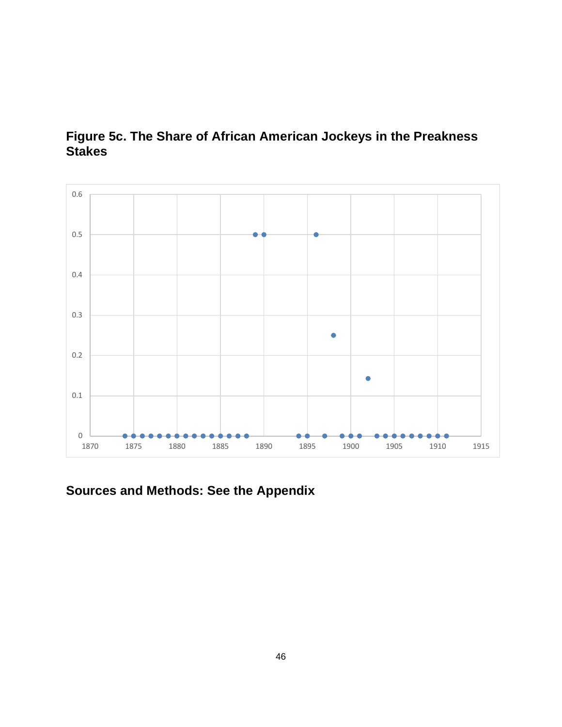

## **Figure 5c. The Share of African American Jockeys in the Preakness Stakes**

**Sources and Methods: See the Appendix**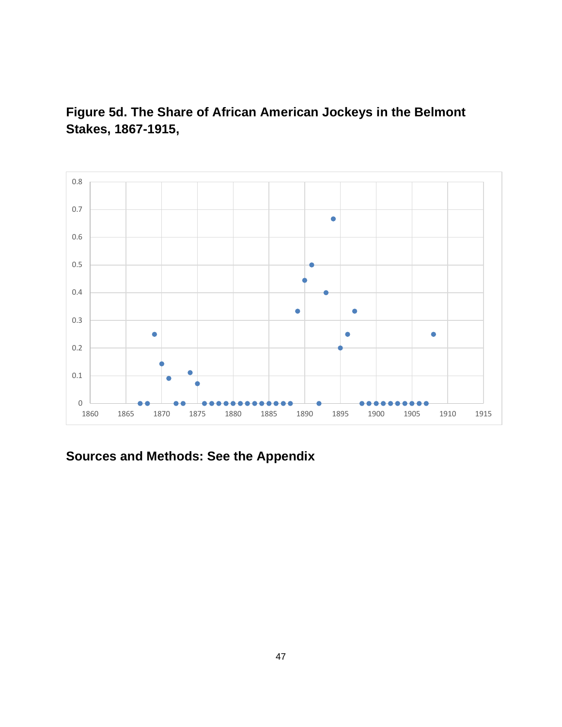

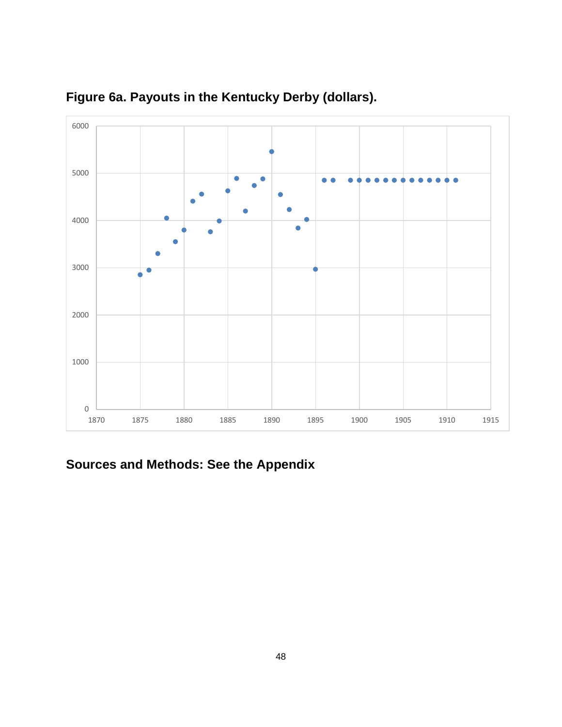

**Figure 6a. Payouts in the Kentucky Derby (dollars).**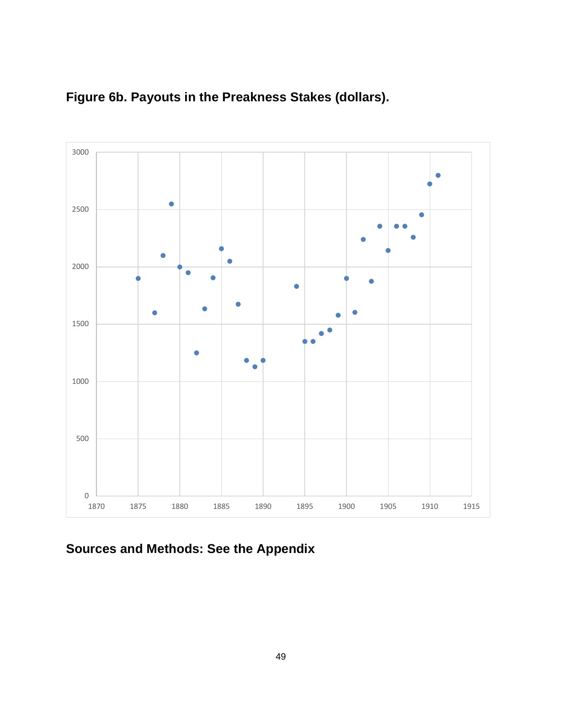



**Sources and Methods: See the Appendix**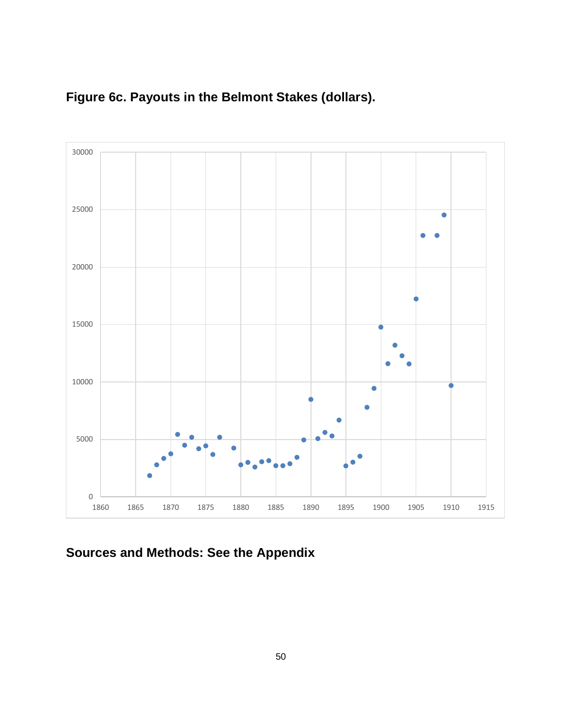

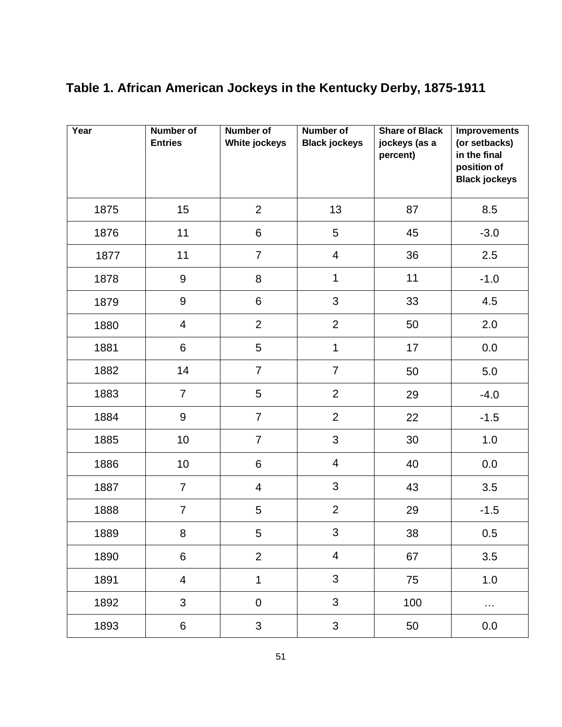| Year | <b>Number of</b><br><b>Entries</b> | <b>Number of</b><br><b>White jockeys</b> | <b>Number of</b><br><b>Black jockeys</b> | <b>Share of Black</b><br>jockeys (as a<br>percent) | <b>Improvements</b><br>(or setbacks)<br>in the final<br>position of<br><b>Black jockeys</b> |
|------|------------------------------------|------------------------------------------|------------------------------------------|----------------------------------------------------|---------------------------------------------------------------------------------------------|
| 1875 | 15                                 | $\overline{2}$                           | 13                                       | 87                                                 | 8.5                                                                                         |
| 1876 | 11                                 | 6                                        | 5                                        | 45                                                 | $-3.0$                                                                                      |
| 1877 | 11                                 | $\overline{7}$                           | $\overline{4}$                           | 36                                                 | 2.5                                                                                         |
| 1878 | $\boldsymbol{9}$                   | 8                                        | $\mathbf 1$                              | 11                                                 | $-1.0$                                                                                      |
| 1879 | 9                                  | 6                                        | $\mathfrak{S}$                           | 33                                                 | 4.5                                                                                         |
| 1880 | 4                                  | $\overline{2}$                           | $\overline{2}$                           | 50                                                 | 2.0                                                                                         |
| 1881 | 6                                  | 5                                        | $\mathbf 1$                              | 17                                                 | 0.0                                                                                         |
| 1882 | 14                                 | $\overline{7}$                           | $\overline{7}$                           | 50                                                 | 5.0                                                                                         |
| 1883 | $\overline{7}$                     | 5                                        | $\overline{2}$                           | 29                                                 | $-4.0$                                                                                      |
| 1884 | $\boldsymbol{9}$                   | $\overline{7}$                           | $\overline{2}$                           | 22                                                 | $-1.5$                                                                                      |
| 1885 | 10                                 | $\overline{7}$                           | $\mathfrak{S}$                           | 30                                                 | 1.0                                                                                         |
| 1886 | 10                                 | 6                                        | $\overline{4}$                           | 40                                                 | 0.0                                                                                         |
| 1887 | $\overline{7}$                     | $\overline{4}$                           | 3                                        | 43                                                 | 3.5                                                                                         |
| 1888 | $\overline{7}$                     | 5                                        | $\overline{2}$                           | 29                                                 | $-1.5$                                                                                      |
| 1889 | 8                                  | 5                                        | 3                                        | 38                                                 | $0.5\,$                                                                                     |
| 1890 | $6\phantom{a}$                     | $\overline{2}$                           | $\overline{4}$                           | 67                                                 | 3.5                                                                                         |
| 1891 | $\overline{4}$                     | $\mathbf{1}$                             | 3                                        | 75                                                 | 1.0                                                                                         |
| 1892 | $\mathbf{3}$                       | $\pmb{0}$                                | 3                                        | 100                                                | $\cdots$                                                                                    |
| 1893 | 6                                  | 3                                        | $\mathbf{3}$                             | 50                                                 | 0.0                                                                                         |

# **Table 1. African American Jockeys in the Kentucky Derby, 1875-1911**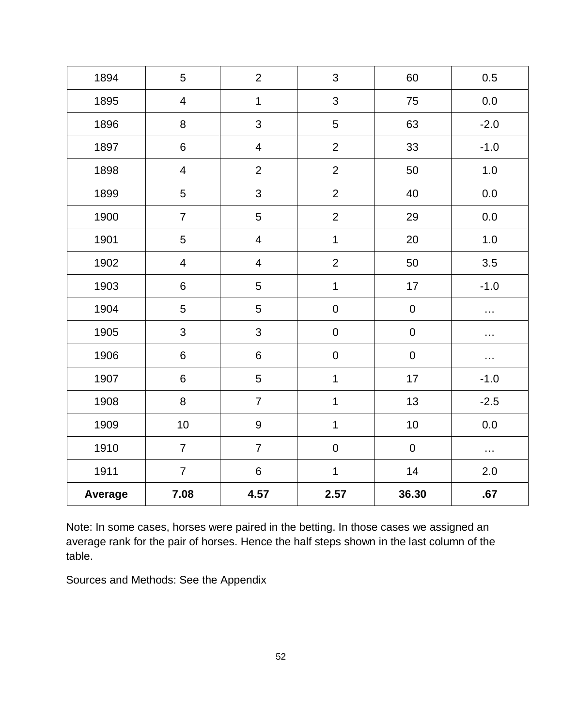| 1894    | 5                       | $\overline{2}$          | 3              | 60        | 0.5      |
|---------|-------------------------|-------------------------|----------------|-----------|----------|
| 1895    | $\overline{4}$          | $\overline{1}$          | 3              | 75        | $0.0\,$  |
| 1896    | 8                       | 3                       | 5              | 63        | $-2.0$   |
| 1897    | $\,6\,$                 | $\overline{\mathbf{4}}$ | $\overline{2}$ | 33        | $-1.0$   |
| 1898    | $\overline{4}$          | $\overline{2}$          | $\overline{2}$ | 50        | $1.0$    |
| 1899    | 5                       | 3                       | $\overline{2}$ | 40        | 0.0      |
| 1900    | $\overline{7}$          | 5                       | $\overline{2}$ | 29        | 0.0      |
| 1901    | 5                       | 4                       | $\mathbf 1$    | 20        | $1.0\,$  |
| 1902    | $\overline{\mathbf{4}}$ | 4                       | $\overline{2}$ | 50        | 3.5      |
| 1903    | $\,6\,$                 | 5                       | $\mathbf 1$    | 17        | $-1.0$   |
| 1904    | 5                       | 5                       | $\mathbf 0$    | ${\bf 0}$ | .        |
| 1905    | $\mathfrak{S}$          | 3                       | $\mathbf 0$    | $\pmb{0}$ | $\cdots$ |
| 1906    | $\,6\,$                 | 6                       | $\mathbf 0$    | $\pmb{0}$ | .        |
| 1907    | $\,6\,$                 | 5                       | $\mathbf 1$    | $17$      | $-1.0$   |
| 1908    | $\bf 8$                 | $\overline{7}$          | $\mathbf 1$    | 13        | $-2.5$   |
| 1909    | 10                      | 9                       | $\mathbf 1$    | $10$      | $0.0\,$  |
| 1910    | $\overline{7}$          | $\overline{7}$          | $\mathbf 0$    | $\pmb{0}$ | .        |
| 1911    | $\overline{7}$          | $\,6\,$                 | $\mathbf 1$    | 14        | 2.0      |
| Average | 7.08                    | 4.57                    | 2.57           | 36.30     | .67      |

Note: In some cases, horses were paired in the betting. In those cases we assigned an average rank for the pair of horses. Hence the half steps shown in the last column of the table.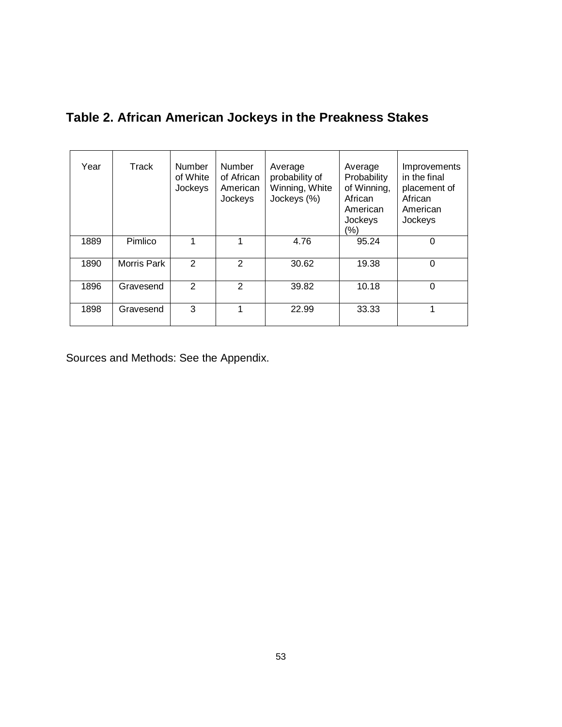**Table 2. African American Jockeys in the Preakness Stakes**

| Year | Track              | <b>Number</b><br>of White<br>Jockeys | <b>Number</b><br>of African<br>American<br>Jockeys | Average<br>probability of<br>Winning, White<br>Jockeys (%) | Average<br>Probability<br>of Winning,<br>African<br>American<br>Jockeys<br>(%) | Improvements<br>in the final<br>placement of<br>African<br>American<br>Jockeys |
|------|--------------------|--------------------------------------|----------------------------------------------------|------------------------------------------------------------|--------------------------------------------------------------------------------|--------------------------------------------------------------------------------|
| 1889 | Pimlico            |                                      |                                                    | 4.76                                                       | 95.24                                                                          | 0                                                                              |
| 1890 | <b>Morris Park</b> | $\mathcal{P}$                        | 2                                                  | 30.62                                                      | 19.38                                                                          | 0                                                                              |
| 1896 | Gravesend          | $\mathfrak{p}$                       | $\overline{2}$                                     | 39.82                                                      | 10.18                                                                          | $\mathbf 0$                                                                    |
| 1898 | Gravesend          | 3                                    |                                                    | 22.99                                                      | 33.33                                                                          | 1                                                                              |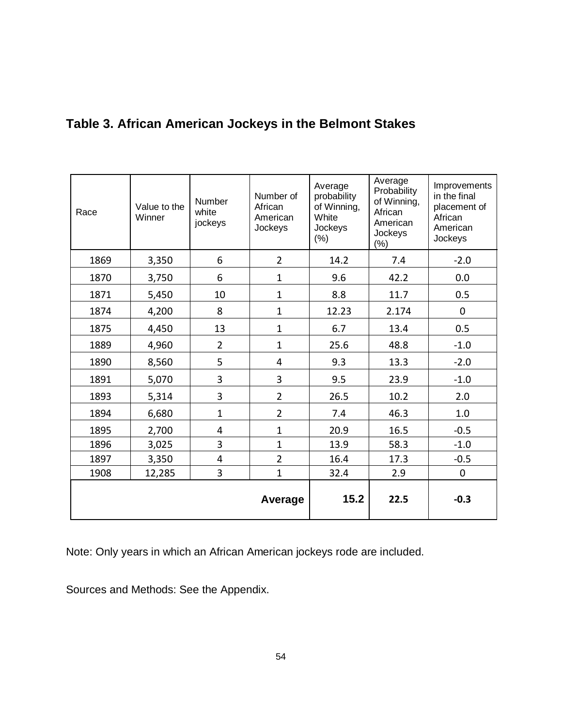| Race | Value to the<br>Winner | Number<br>white<br>jockeys | Number of<br>African<br>American<br>Jockeys | Average<br>probability<br>of Winning,<br>White<br>Jockeys<br>$(\%)$ | Average<br>Probability<br>of Winning,<br>African<br>American<br>Jockeys<br>$(\%)$ | Improvements<br>in the final<br>placement of<br>African<br>American<br>Jockeys |
|------|------------------------|----------------------------|---------------------------------------------|---------------------------------------------------------------------|-----------------------------------------------------------------------------------|--------------------------------------------------------------------------------|
| 1869 | 3,350                  | 6                          | $\overline{2}$                              | 14.2                                                                | 7.4                                                                               | $-2.0$                                                                         |
| 1870 | 3,750                  | 6                          | $\mathbf{1}$                                | 9.6                                                                 | 42.2                                                                              | 0.0                                                                            |
| 1871 | 5,450                  | 10                         | $\mathbf{1}$                                | 8.8                                                                 | 11.7                                                                              | 0.5                                                                            |
| 1874 | 4,200                  | 8                          | $\mathbf{1}$                                | 12.23                                                               | 2.174                                                                             | 0                                                                              |
| 1875 | 4,450                  | 13                         | $\mathbf{1}$                                | 6.7                                                                 | 13.4                                                                              | 0.5                                                                            |
| 1889 | 4,960                  | $\overline{2}$             | $\mathbf{1}$                                | 25.6                                                                | 48.8                                                                              | $-1.0$                                                                         |
| 1890 | 8,560                  | 5                          | 4                                           | 9.3                                                                 | 13.3                                                                              | $-2.0$                                                                         |
| 1891 | 5,070                  | 3                          | 3                                           | 9.5                                                                 | 23.9                                                                              | $-1.0$                                                                         |
| 1893 | 5,314                  | 3                          | $\overline{2}$                              | 26.5                                                                | 10.2                                                                              | 2.0                                                                            |
| 1894 | 6,680                  | $\overline{1}$             | $\overline{2}$                              | 7.4                                                                 | 46.3                                                                              | 1.0                                                                            |
| 1895 | 2,700                  | 4                          | $\mathbf{1}$                                | 20.9                                                                | 16.5                                                                              | $-0.5$                                                                         |
| 1896 | 3,025                  | 3                          | $\mathbf{1}$                                | 13.9                                                                | 58.3                                                                              | $-1.0$                                                                         |
| 1897 | 3,350                  | 4                          | $\overline{2}$                              | 16.4                                                                | 17.3                                                                              | $-0.5$                                                                         |
| 1908 | 12,285                 | 3                          | $\mathbf{1}$                                | 32.4                                                                | 2.9                                                                               | $\mathbf 0$                                                                    |
|      |                        |                            | Average                                     | 15.2                                                                | 22.5                                                                              | $-0.3$                                                                         |

## **Table 3. African American Jockeys in the Belmont Stakes**

Note: Only years in which an African American jockeys rode are included.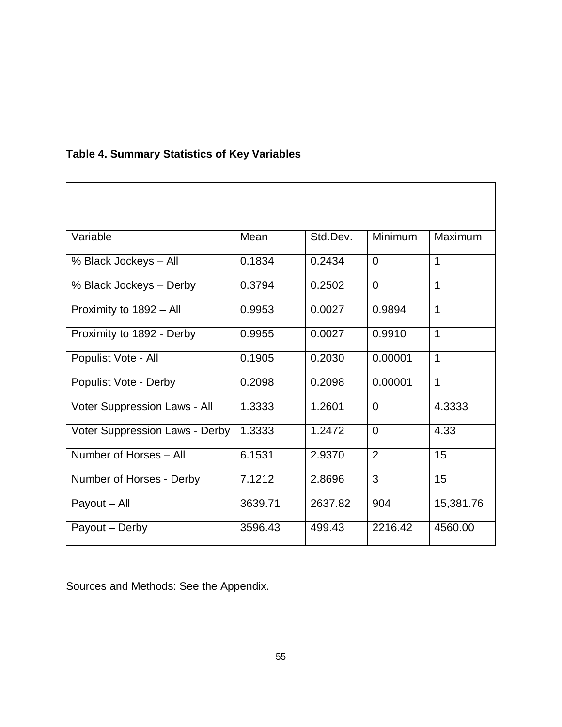| Variable                       | Mean    | Std.Dev. | Minimum        | Maximum        |
|--------------------------------|---------|----------|----------------|----------------|
| % Black Jockeys - All          | 0.1834  | 0.2434   | $\Omega$       | $\mathbf{1}$   |
| % Black Jockeys - Derby        | 0.3794  | 0.2502   | $\overline{0}$ | $\mathbf{1}$   |
| Proximity to 1892 - All        | 0.9953  | 0.0027   | 0.9894         | $\overline{1}$ |
| Proximity to 1892 - Derby      | 0.9955  | 0.0027   | 0.9910         | $\mathbf{1}$   |
| Populist Vote - All            | 0.1905  | 0.2030   | 0.00001        | $\mathbf{1}$   |
| Populist Vote - Derby          | 0.2098  | 0.2098   | 0.00001        | $\mathbf{1}$   |
| Voter Suppression Laws - All   | 1.3333  | 1.2601   | $\Omega$       | 4.3333         |
| Voter Suppression Laws - Derby | 1.3333  | 1.2472   | $\Omega$       | 4.33           |
| Number of Horses - All         | 6.1531  | 2.9370   | 2              | 15             |
| Number of Horses - Derby       | 7.1212  | 2.8696   | 3              | 15             |
| Payout - All                   | 3639.71 | 2637.82  | 904            | 15,381.76      |
| Payout - Derby                 | 3596.43 | 499.43   | 2216.42        | 4560.00        |

## **Table 4. Summary Statistics of Key Variables**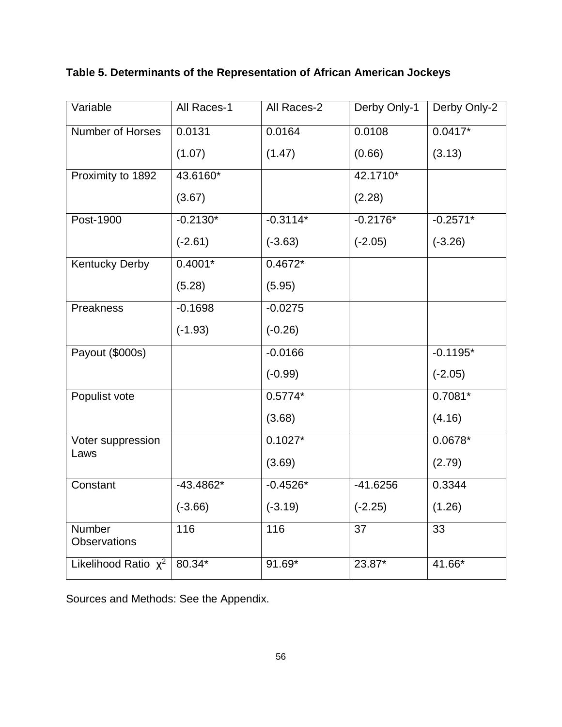**Table 5. Determinants of the Representation of African American Jockeys**

| Variable               | All Races-1 | All Races-2 | Derby Only-1 | Derby Only-2 |
|------------------------|-------------|-------------|--------------|--------------|
| Number of Horses       | 0.0131      | 0.0164      | 0.0108       | $0.0417*$    |
|                        | (1.07)      | (1.47)      | (0.66)       | (3.13)       |
| Proximity to 1892      | 43.6160*    |             | 42.1710*     |              |
|                        | (3.67)      |             | (2.28)       |              |
| Post-1900              | $-0.2130*$  | $-0.3114*$  | $-0.2176*$   | $-0.2571*$   |
|                        | $(-2.61)$   | $(-3.63)$   | $(-2.05)$    | $(-3.26)$    |
| <b>Kentucky Derby</b>  | $0.4001*$   | $0.4672*$   |              |              |
|                        | (5.28)      | (5.95)      |              |              |
| Preakness              | $-0.1698$   | $-0.0275$   |              |              |
|                        | $(-1.93)$   | $(-0.26)$   |              |              |
| Payout (\$000s)        |             | $-0.0166$   |              | $-0.1195*$   |
|                        |             | $(-0.99)$   |              | $(-2.05)$    |
| Populist vote          |             | $0.5774*$   |              | $0.7081*$    |
|                        |             | (3.68)      |              | (4.16)       |
| Voter suppression      |             | $0.1027*$   |              | $0.0678*$    |
| Laws                   |             | (3.69)      |              | (2.79)       |
| Constant               | $-43.4862*$ | $-0.4526*$  | $-41.6256$   | 0.3344       |
|                        | $(-3.66)$   | $(-3.19)$   | $(-2.25)$    | (1.26)       |
| Number<br>Observations | 116         | 116         | 37           | 33           |
| Likelihood Ratio $x^2$ | 80.34*      | 91.69*      | 23.87*       | 41.66*       |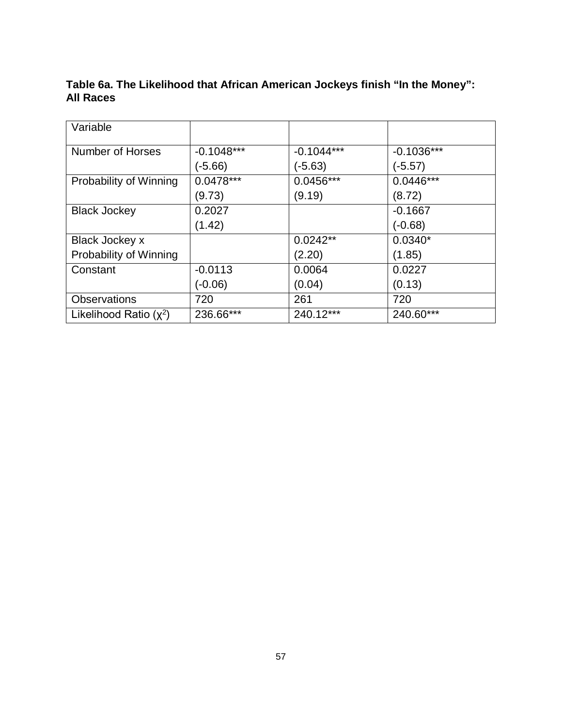## **Table 6a. The Likelihood that African American Jockeys finish "In the Money": All Races**

| Variable                 |              |              |              |
|--------------------------|--------------|--------------|--------------|
| Number of Horses         | $-0.1048***$ | $-0.1044***$ | $-0.1036***$ |
|                          | (-5.66)      | $(-5.63)$    | $(-5.57)$    |
| Probability of Winning   | $0.0478***$  | $0.0456***$  | $0.0446***$  |
|                          | (9.73)       | (9.19)       | (8.72)       |
| <b>Black Jockey</b>      | 0.2027       |              | $-0.1667$    |
|                          | (1.42)       |              | $(-0.68)$    |
| Black Jockey x           |              | $0.0242**$   | $0.0340*$    |
| Probability of Winning   |              | (2.20)       | (1.85)       |
| Constant                 | $-0.0113$    | 0.0064       | 0.0227       |
|                          | (-0.06)      | (0.04)       | (0.13)       |
| <b>Observations</b>      | 720          | 261          | 720          |
| Likelihood Ratio $(x^2)$ | 236.66***    | 240.12***    | 240.60***    |